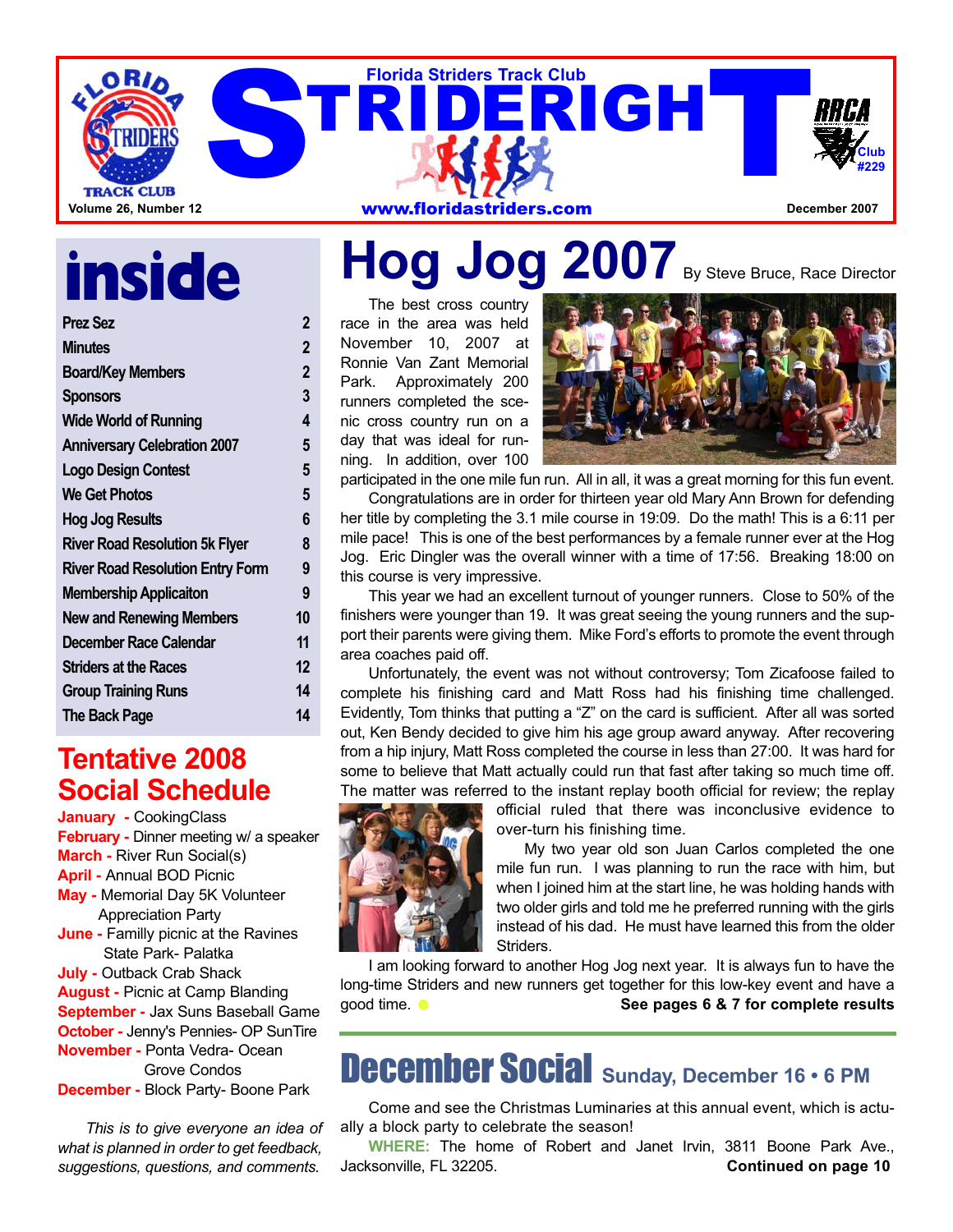

# **inside**

| <b>Prez Sez</b>                         | 2                       |
|-----------------------------------------|-------------------------|
| <b>Minutes</b>                          | $\overline{\mathbf{2}}$ |
| <b>Board/Key Members</b>                | $\overline{\mathbf{2}}$ |
| <b>Sponsors</b>                         | 3                       |
| <b>Wide World of Running</b>            | 4                       |
| <b>Anniversary Celebration 2007</b>     | 5                       |
| <b>Logo Design Contest</b>              | 5                       |
| <b>We Get Photos</b>                    | 5                       |
| <b>Hog Jog Results</b>                  | 6                       |
| <b>River Road Resolution 5k Flyer</b>   | 8                       |
| <b>River Road Resolution Entry Form</b> | 9                       |
| <b>Membership Applicaiton</b>           | 9                       |
| <b>New and Renewing Members</b>         | 10                      |
| <b>December Race Calendar</b>           | 11                      |
| <b>Striders at the Races</b>            | 12                      |
| <b>Group Training Runs</b>              | 14                      |
| <b>The Back Page</b>                    | 14                      |
|                                         |                         |

### **Tentative 2008 Social Schedule**

**January -** CookingClass **February -** Dinner meeting w/ a speaker **March -** River Run Social(s) **April -** Annual BOD Picnic **May -** Memorial Day 5K Volunteer Appreciation Party **June -** Familly picnic at the Ravines State Park- Palatka **July -** Outback Crab Shack **August -** Picnic at Camp Blanding **September -** Jax Suns Baseball Game **October -** Jenny's Pennies- OP SunTire **November -** Ponta Vedra- Ocean Grove Condos **December -** Block Party- Boone Park

*This is to give everyone an idea of what is planned in order to get feedback, suggestions, questions, and comments.*

# Hog Jog 2007 By Steve Bruce, Race Director

The best cross country race in the area was held November 10, 2007 at Ronnie Van Zant Memorial Park. Approximately 200 runners completed the scenic cross country run on a day that was ideal for running. In addition, over 100



participated in the one mile fun run. All in all, it was a great morning for this fun event. Congratulations are in order for thirteen year old Mary Ann Brown for defending her title by completing the 3.1 mile course in 19:09. Do the math! This is a 6:11 per mile pace! This is one of the best performances by a female runner ever at the Hog Jog. Eric Dingler was the overall winner with a time of 17:56. Breaking 18:00 on this course is very impressive.

This year we had an excellent turnout of younger runners. Close to 50% of the finishers were younger than 19. It was great seeing the young runners and the support their parents were giving them. Mike Ford's efforts to promote the event through area coaches paid off.

Unfortunately, the event was not without controversy; Tom Zicafoose failed to complete his finishing card and Matt Ross had his finishing time challenged. Evidently, Tom thinks that putting a "Z" on the card is sufficient. After all was sorted out, Ken Bendy decided to give him his age group award anyway. After recovering from a hip injury, Matt Ross completed the course in less than 27:00. It was hard for some to believe that Matt actually could run that fast after taking so much time off. The matter was referred to the instant replay booth official for review; the replay



official ruled that there was inconclusive evidence to over-turn his finishing time.

My two year old son Juan Carlos completed the one mile fun run. I was planning to run the race with him, but when I joined him at the start line, he was holding hands with two older girls and told me he preferred running with the girls instead of his dad. He must have learned this from the older Striders.

I am looking forward to another Hog Jog next year. It is always fun to have the long-time Striders and new runners get together for this low-key event and have a good time. **O** See pages 6 & 7 for complete results

## December Social **Sunday, December 16 • 6 PM**

Come and see the Christmas Luminaries at this annual event, which is actually a block party to celebrate the season!

**WHERE:** The home of Robert and Janet Irvin, 3811 Boone Park Ave., Jacksonville, FL 32205. **Continued on page 10**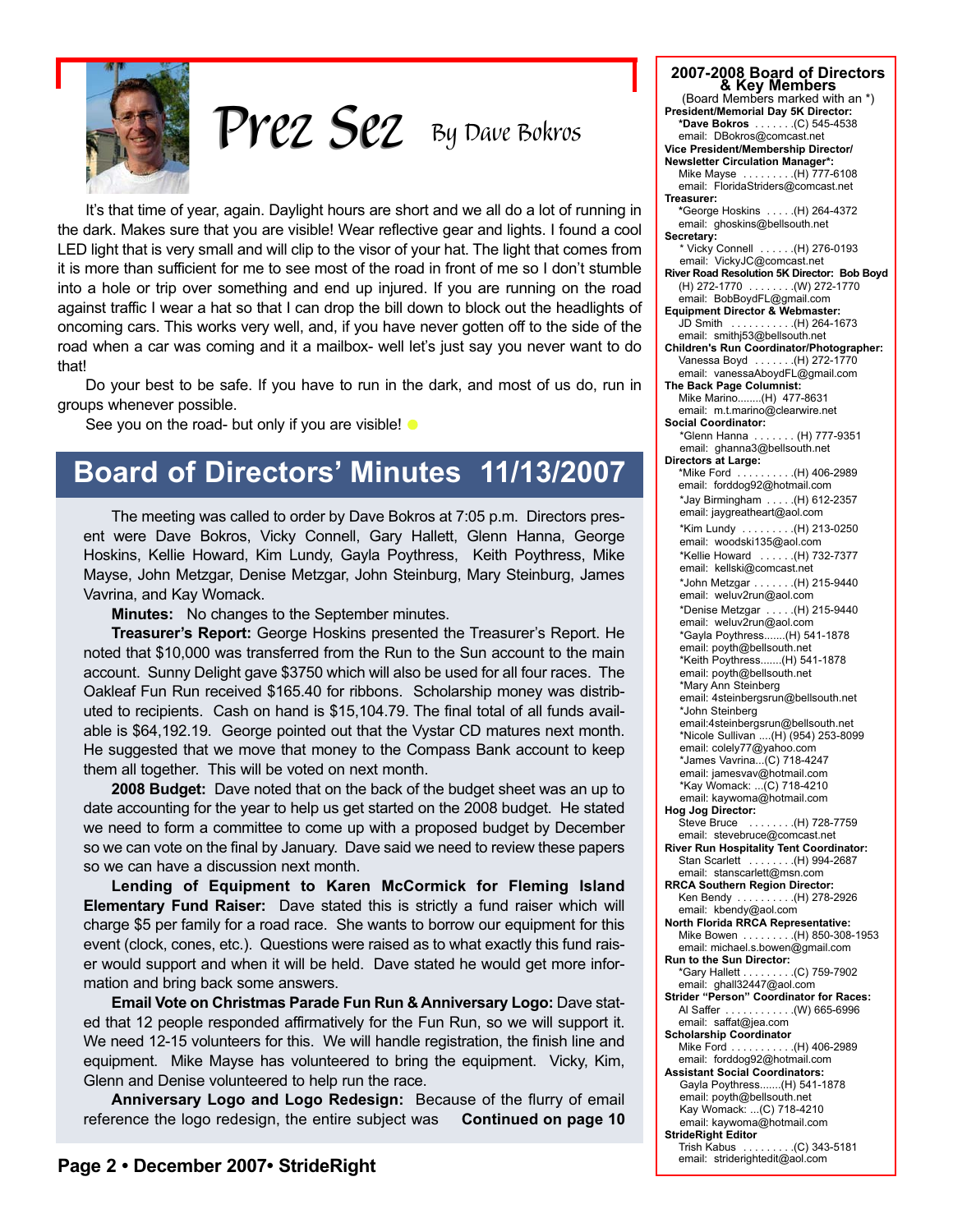

*By Dave Bokros Prez Sez Prez Sez*

It's that time of year, again. Daylight hours are short and we all do a lot of running in the dark. Makes sure that you are visible! Wear reflective gear and lights. I found a cool LED light that is very small and will clip to the visor of your hat. The light that comes from it is more than sufficient for me to see most of the road in front of me so I don't stumble into a hole or trip over something and end up injured. If you are running on the road against traffic I wear a hat so that I can drop the bill down to block out the headlights of oncoming cars. This works very well, and, if you have never gotten off to the side of the road when a car was coming and it a mailbox- well let's just say you never want to do that!

Do your best to be safe. If you have to run in the dark, and most of us do, run in groups whenever possible.

See you on the road- but only if you are visible!  $\bullet$ 

## **Board of Directors' Minutes 11/13/2007**

The meeting was called to order by Dave Bokros at 7:05 p.m. Directors present were Dave Bokros, Vicky Connell, Gary Hallett, Glenn Hanna, George Hoskins, Kellie Howard, Kim Lundy, Gayla Poythress, Keith Poythress, Mike Mayse, John Metzgar, Denise Metzgar, John Steinburg, Mary Steinburg, James Vavrina, and Kay Womack.

**Minutes:** No changes to the September minutes.

**Treasurer's Report:** George Hoskins presented the Treasurer's Report. He noted that \$10,000 was transferred from the Run to the Sun account to the main account. Sunny Delight gave \$3750 which will also be used for all four races. The Oakleaf Fun Run received \$165.40 for ribbons. Scholarship money was distributed to recipients. Cash on hand is \$15,104.79. The final total of all funds available is \$64,192.19. George pointed out that the Vystar CD matures next month. He suggested that we move that money to the Compass Bank account to keep them all together. This will be voted on next month.

**2008 Budget:** Dave noted that on the back of the budget sheet was an up to date accounting for the year to help us get started on the 2008 budget. He stated we need to form a committee to come up with a proposed budget by December so we can vote on the final by January. Dave said we need to review these papers so we can have a discussion next month.

**Lending of Equipment to Karen McCormick for Fleming Island Elementary Fund Raiser:** Dave stated this is strictly a fund raiser which will charge \$5 per family for a road race. She wants to borrow our equipment for this event (clock, cones, etc.). Questions were raised as to what exactly this fund raiser would support and when it will be held. Dave stated he would get more information and bring back some answers.

**Email Vote on Christmas Parade Fun Run & Anniversary Logo:** Dave stated that 12 people responded affirmatively for the Fun Run, so we will support it. We need 12-15 volunteers for this. We will handle registration, the finish line and equipment. Mike Mayse has volunteered to bring the equipment. Vicky, Kim, Glenn and Denise volunteered to help run the race.

**Anniversary Logo and Logo Redesign:** Because of the flurry of email reference the logo redesign, the entire subject was **Continued on page 10**

| 2007-2008 Board of Directors                                              |
|---------------------------------------------------------------------------|
| & Key Members                                                             |
| (Board Members marked with an *)                                          |
| President/Memorial Day 5K Director:<br>*Dave Bokros (C) 545-4538          |
| email: DBokros@comcast.net                                                |
| Vice President/Membership Director/                                       |
| <b>Newsletter Circulation Manager*:</b><br>Mike Mayse  (H) 777-6108       |
| email: FloridaStriders@comcast.net                                        |
| Treasurer:                                                                |
| *George Hoskins (H) 264-4372<br>email: ghoskins@bellsouth.net             |
| Secretary:                                                                |
| * Vicky Connell  (H) 276-0193                                             |
| email: VickyJC@comcast.net<br>River Road Resolution 5K Director: Bob Boyd |
|                                                                           |
|                                                                           |
| <b>Equipment Director &amp; Webmaster:</b><br>JD Smith (H) 264-1673       |
| email: smithj53@bellsouth.net                                             |
| Children's Run Coordinator/Photographer:                                  |
| Vanessa Boyd (H) 272-1770<br>email: vanessaAboydFL@gmail.com              |
| The Back Page Columnist:                                                  |
| Mike Marino(H) 477-8631                                                   |
| email: m.t.marino@clearwire.net<br><b>Social Coordinator:</b>             |
| *Glenn Hanna (H) 777-9351                                                 |
| email: ghanna3@bellsouth.net                                              |
| Directors at Large:<br>*Mike Ford (H) 406-2989                            |
| email: forddog92@hotmail.com                                              |
| *Jay Birmingham (H) 612-2357                                              |
| email: jaygreatheart@aol.com                                              |
| *Kim Lundy (H) 213-0250                                                   |
| email: woodski135@aol.com<br>*Kellie Howard  (H) 732-7377                 |
| email: kellski@comcast.net                                                |
| *John Metzgar (H) 215-9440                                                |
| email: weluv2run@aol.com                                                  |
| *Denise Metzgar  (H) 215-9440<br>email: weluv2run@aol.com                 |
| *Gayla Poythress(H) 541-1878                                              |
| email: poyth@bellsouth.net                                                |
| *Keith Poythress(H) 541-1878<br>email: poyth@bellsouth.net                |
| *Mary Ann Steinberg                                                       |
| email: 4steinbergsrun@bellsouth.net                                       |
| *John Steinberg<br>email:4steinbergsrun@bellsouth.net                     |
| *Nicole Sullivan  (H) (954) 253-8099                                      |
| email: colely77@yahoo.com                                                 |
| *James Vavrina(C) 718-4247<br>email: jamesvav@hotmail.com                 |
| *Kay Womack: (C) 718-4210                                                 |
| email: kaywoma@hotmail.com                                                |
| Hog Jog Director:<br>Steve Bruce<br>$\ldots \ldots \ldots$ (H) 728-7759   |
| email: stevebruce@comcast.net                                             |
| River Run Hospitality Tent Coordinator:                                   |
| Stan Scarlett  (H) 994-2687<br>email: stanscarlett@msn.com                |
| <b>RRCA Southern Region Director:</b>                                     |
| Ken Bendy (H) 278-2926                                                    |
| email: kbendy@aol.com<br><b>North Florida RRCA Representative:</b>        |
| Mike Bowen (H) 850-308-1953                                               |
| email: michael.s.bowen@gmail.com<br>Run to the Sun Director:              |
| *Gary Hallett (C) 759-7902                                                |
| email: ghall32447@aol.com                                                 |
| <b>Strider "Person" Coordinator for Races:</b><br>Al Saffer (W) 665-6996  |
| email: saffat@jea.com                                                     |
| <b>Scholarship Coordinator</b>                                            |
| Mike Ford (H) 406-2989<br>email: forddog92@hotmail.com                    |
| <b>Assistant Social Coordinators:</b>                                     |
| Gayla Poythress(H) 541-1878                                               |
| email: poyth@bellsouth.net                                                |
| Kay Womack: (C) 718-4210<br>email: kaywoma@hotmail.com                    |
| <b>StrideRight Editor</b>                                                 |
| Trish Kabus   (C) 343-5181<br>email:  striderightedit@aol.com             |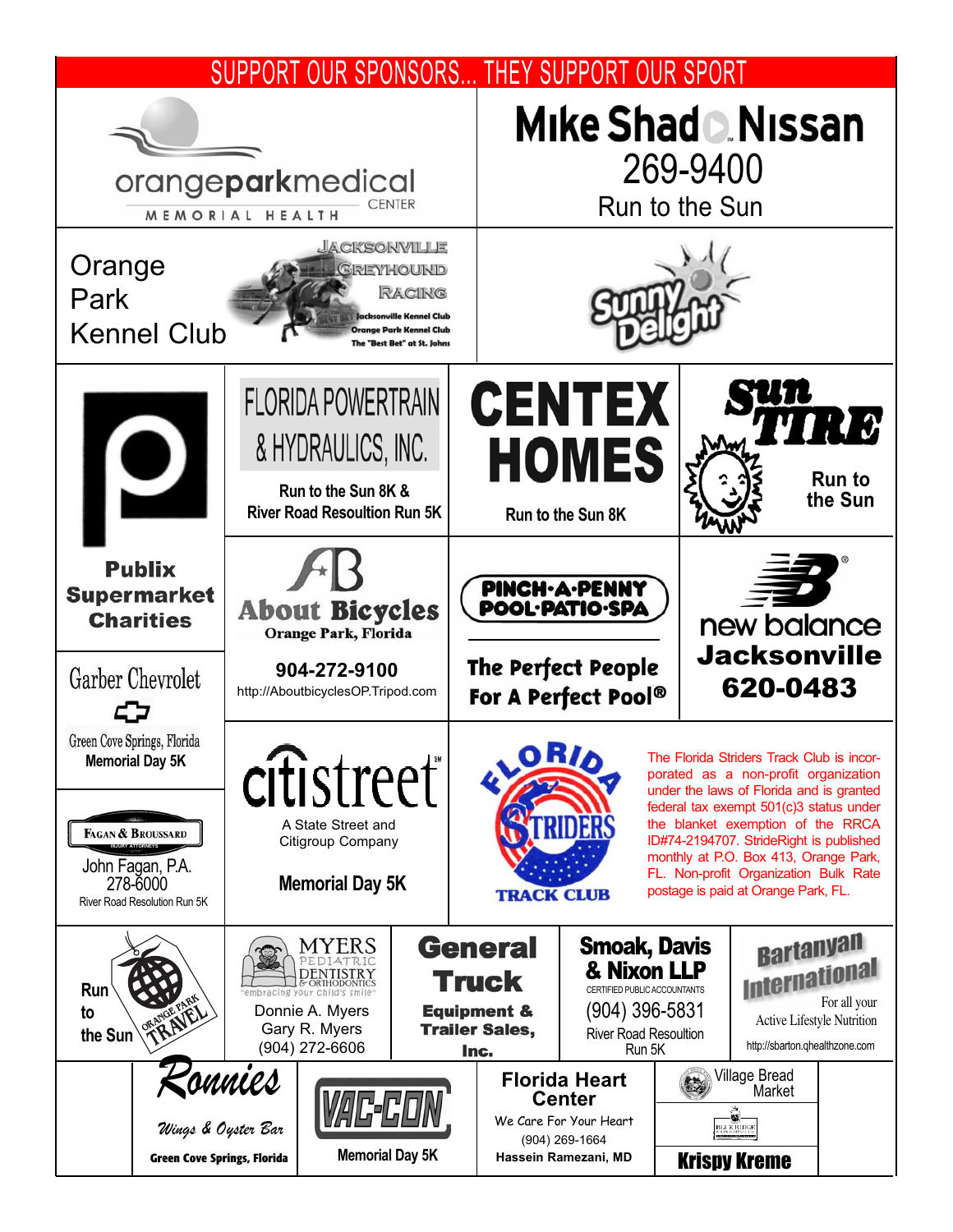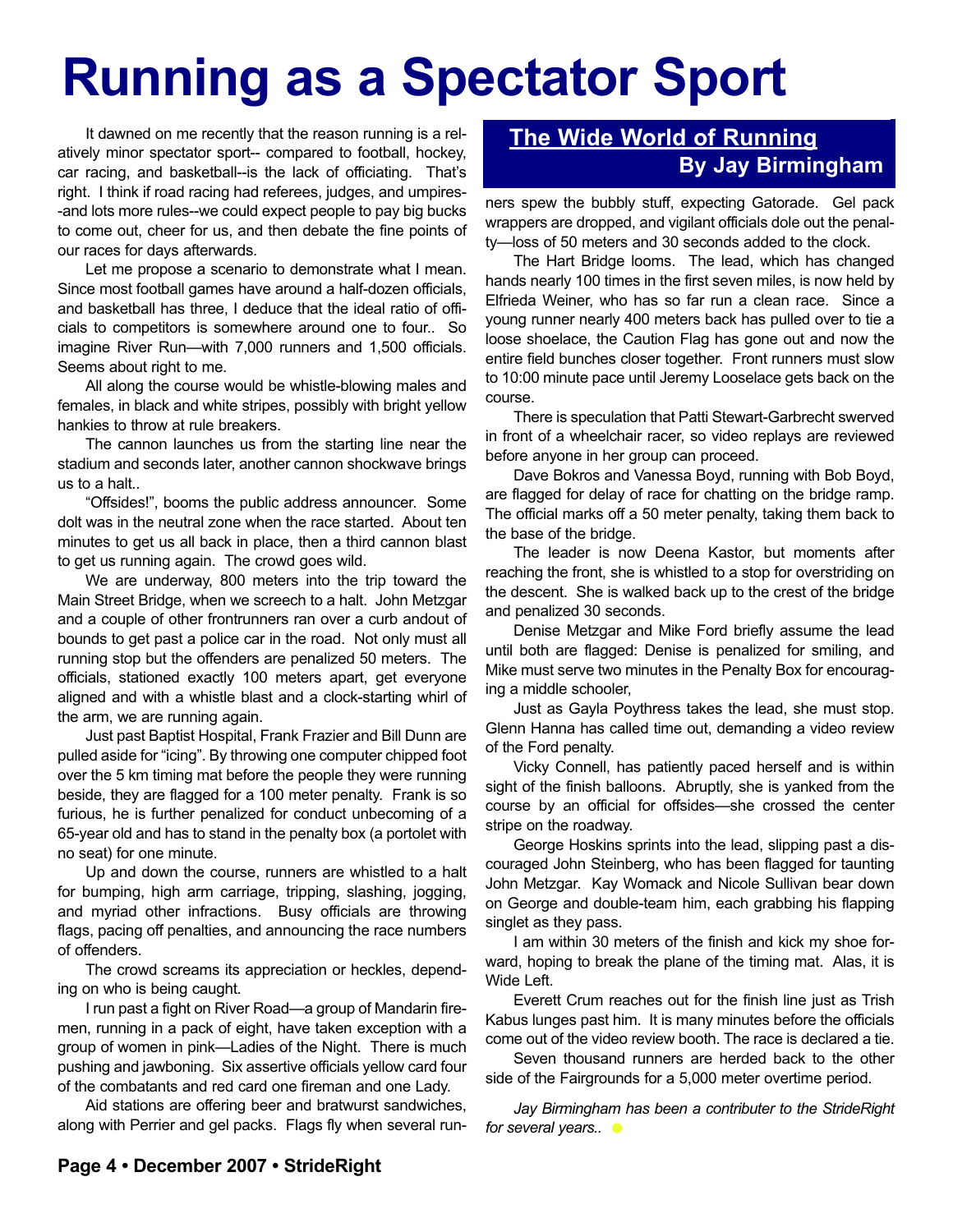# **Running as a Spectator Sport**

It dawned on me recently that the reason running is a relatively minor spectator sport-- compared to football, hockey, car racing, and basketball--is the lack of officiating. That's right. I think if road racing had referees, judges, and umpires- -and lots more rules--we could expect people to pay big bucks to come out, cheer for us, and then debate the fine points of our races for days afterwards.

Let me propose a scenario to demonstrate what I mean. Since most football games have around a half-dozen officials, and basketball has three, I deduce that the ideal ratio of officials to competitors is somewhere around one to four.. So imagine River Run—with 7,000 runners and 1,500 officials. Seems about right to me.

All along the course would be whistle-blowing males and females, in black and white stripes, possibly with bright yellow hankies to throw at rule breakers.

The cannon launches us from the starting line near the stadium and seconds later, another cannon shockwave brings us to a halt..

"Offsides!", booms the public address announcer. Some dolt was in the neutral zone when the race started. About ten minutes to get us all back in place, then a third cannon blast to get us running again. The crowd goes wild.

We are underway, 800 meters into the trip toward the Main Street Bridge, when we screech to a halt. John Metzgar and a couple of other frontrunners ran over a curb andout of bounds to get past a police car in the road. Not only must all running stop but the offenders are penalized 50 meters. The officials, stationed exactly 100 meters apart, get everyone aligned and with a whistle blast and a clock-starting whirl of the arm, we are running again.

Just past Baptist Hospital, Frank Frazier and Bill Dunn are pulled aside for "icing". By throwing one computer chipped foot over the 5 km timing mat before the people they were running beside, they are flagged for a 100 meter penalty. Frank is so furious, he is further penalized for conduct unbecoming of a 65-year old and has to stand in the penalty box (a portolet with no seat) for one minute.

Up and down the course, runners are whistled to a halt for bumping, high arm carriage, tripping, slashing, jogging, and myriad other infractions. Busy officials are throwing flags, pacing off penalties, and announcing the race numbers of offenders.

The crowd screams its appreciation or heckles, depending on who is being caught.

I run past a fight on River Road—a group of Mandarin firemen, running in a pack of eight, have taken exception with a group of women in pink—Ladies of the Night. There is much pushing and jawboning. Six assertive officials yellow card four of the combatants and red card one fireman and one Lady.

Aid stations are offering beer and bratwurst sandwiches, along with Perrier and gel packs. Flags fly when several run-

#### **The Wide World of Running By Jay Birmingham**

ners spew the bubbly stuff, expecting Gatorade. Gel pack wrappers are dropped, and vigilant officials dole out the penalty—loss of 50 meters and 30 seconds added to the clock.

The Hart Bridge looms. The lead, which has changed hands nearly 100 times in the first seven miles, is now held by Elfrieda Weiner, who has so far run a clean race. Since a young runner nearly 400 meters back has pulled over to tie a loose shoelace, the Caution Flag has gone out and now the entire field bunches closer together. Front runners must slow to 10:00 minute pace until Jeremy Looselace gets back on the course.

There is speculation that Patti Stewart-Garbrecht swerved in front of a wheelchair racer, so video replays are reviewed before anyone in her group can proceed.

Dave Bokros and Vanessa Boyd, running with Bob Boyd, are flagged for delay of race for chatting on the bridge ramp. The official marks off a 50 meter penalty, taking them back to the base of the bridge.

The leader is now Deena Kastor, but moments after reaching the front, she is whistled to a stop for overstriding on the descent. She is walked back up to the crest of the bridge and penalized 30 seconds.

Denise Metzgar and Mike Ford briefly assume the lead until both are flagged: Denise is penalized for smiling, and Mike must serve two minutes in the Penalty Box for encouraging a middle schooler,

Just as Gayla Poythress takes the lead, she must stop. Glenn Hanna has called time out, demanding a video review of the Ford penalty.

Vicky Connell, has patiently paced herself and is within sight of the finish balloons. Abruptly, she is yanked from the course by an official for offsides—she crossed the center stripe on the roadway.

George Hoskins sprints into the lead, slipping past a discouraged John Steinberg, who has been flagged for taunting John Metzgar. Kay Womack and Nicole Sullivan bear down on George and double-team him, each grabbing his flapping singlet as they pass.

I am within 30 meters of the finish and kick my shoe forward, hoping to break the plane of the timing mat. Alas, it is Wide Left.

Everett Crum reaches out for the finish line just as Trish Kabus lunges past him. It is many minutes before the officials come out of the video review booth. The race is declared a tie.

Seven thousand runners are herded back to the other side of the Fairgrounds for a 5,000 meter overtime period.

*Jay Birmingham has been a contributer to the StrideRight for several years..*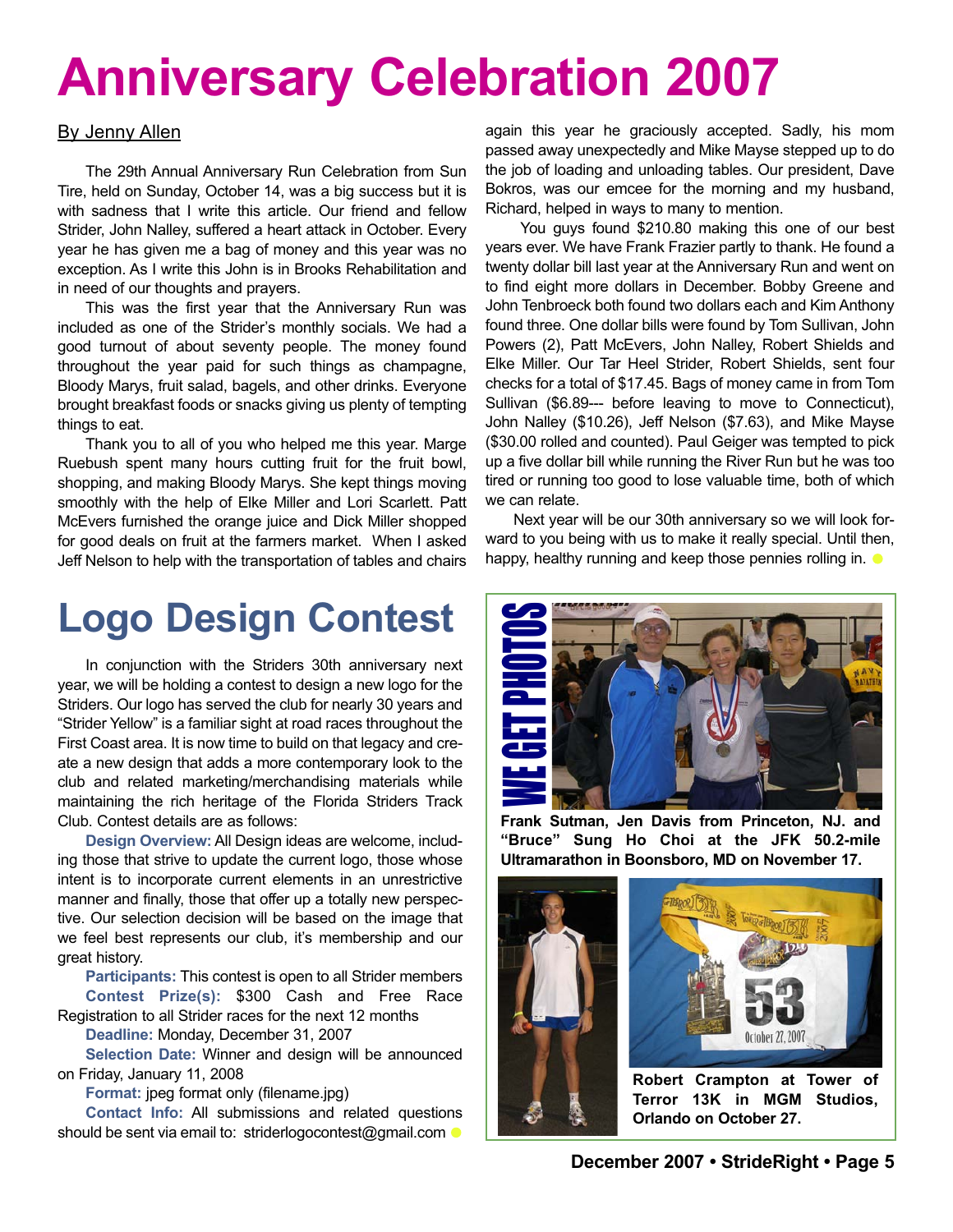# **Anniversary Celebration 2007**

#### By Jenny Allen

The 29th Annual Anniversary Run Celebration from Sun Tire, held on Sunday, October 14, was a big success but it is with sadness that I write this article. Our friend and fellow Strider, John Nalley, suffered a heart attack in October. Every year he has given me a bag of money and this year was no exception. As I write this John is in Brooks Rehabilitation and in need of our thoughts and prayers.

This was the first year that the Anniversary Run was included as one of the Strider's monthly socials. We had a good turnout of about seventy people. The money found throughout the year paid for such things as champagne, Bloody Marys, fruit salad, bagels, and other drinks. Everyone brought breakfast foods or snacks giving us plenty of tempting things to eat.

Thank you to all of you who helped me this year. Marge Ruebush spent many hours cutting fruit for the fruit bowl, shopping, and making Bloody Marys. She kept things moving smoothly with the help of Elke Miller and Lori Scarlett. Patt McEvers furnished the orange juice and Dick Miller shopped for good deals on fruit at the farmers market. When I asked Jeff Nelson to help with the transportation of tables and chairs

# **Logo Design Contest**

In conjunction with the Striders 30th anniversary next year, we will be holding a contest to design a new logo for the Striders. Our logo has served the club for nearly 30 years and "Strider Yellow" is a familiar sight at road races throughout the First Coast area. It is now time to build on that legacy and create a new design that adds a more contemporary look to the club and related marketing/merchandising materials while maintaining the rich heritage of the Florida Striders Track Club. Contest details are as follows:

**Design Overview:** All Design ideas are welcome, including those that strive to update the current logo, those whose intent is to incorporate current elements in an unrestrictive manner and finally, those that offer up a totally new perspective. Our selection decision will be based on the image that we feel best represents our club, it's membership and our great history.

**Participants:** This contest is open to all Strider members **Contest Prize(s):** \$300 Cash and Free Race

Registration to all Strider races for the next 12 months

**Deadline:** Monday, December 31, 2007

**Selection Date:** Winner and design will be announced on Friday, January 11, 2008

**Format:** jpeg format only (filename.jpg)

**Contact Info:** All submissions and related questions should be sent via email to: striderlogocontest@gmail.com •

again this year he graciously accepted. Sadly, his mom passed away unexpectedly and Mike Mayse stepped up to do the job of loading and unloading tables. Our president, Dave Bokros, was our emcee for the morning and my husband, Richard, helped in ways to many to mention.

You guys found \$210.80 making this one of our best years ever. We have Frank Frazier partly to thank. He found a twenty dollar bill last year at the Anniversary Run and went on to find eight more dollars in December. Bobby Greene and John Tenbroeck both found two dollars each and Kim Anthony found three. One dollar bills were found by Tom Sullivan, John Powers (2), Patt McEvers, John Nalley, Robert Shields and Elke Miller. Our Tar Heel Strider, Robert Shields, sent four checks for a total of \$17.45. Bags of money came in from Tom Sullivan (\$6.89--- before leaving to move to Connecticut), John Nalley (\$10.26), Jeff Nelson (\$7.63), and Mike Mayse (\$30.00 rolled and counted). Paul Geiger was tempted to pick up a five dollar bill while running the River Run but he was too tired or running too good to lose valuable time, both of which we can relate.

Next year will be our 30th anniversary so we will look forward to you being with us to make it really special. Until then, happy, healthy running and keep those pennies rolling in.  $\bullet$ 



**Frank Sutman, Jen Davis from Princeton, NJ. and "Bruce" Sung Ho Choi at the JFK 50.2-mile Ultramarathon in Boonsboro, MD on November 17.**

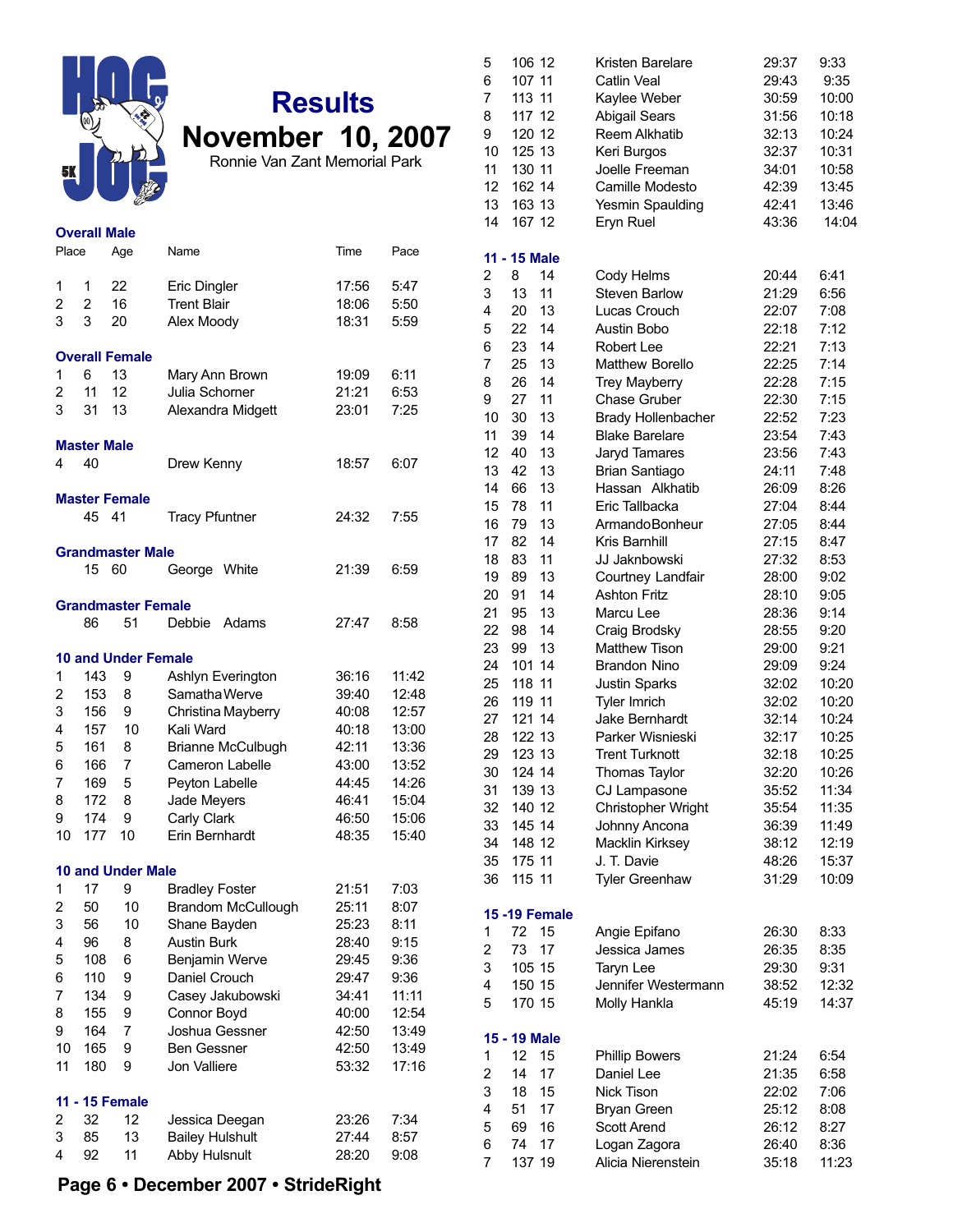

| <b>Overall Male</b> |                    |                            |                           |       |       |  |  |
|---------------------|--------------------|----------------------------|---------------------------|-------|-------|--|--|
| Place               |                    | Age                        | Name                      | Time  | Pace  |  |  |
| 1                   | 1                  | 22                         | Eric Dingler              | 17:56 | 5:47  |  |  |
| $\overline{2}$      | 2                  | 16                         | <b>Trent Blair</b>        | 18:06 | 5:50  |  |  |
| 3                   | 3                  | 20                         | Alex Moody                | 18:31 | 5:59  |  |  |
|                     |                    |                            |                           |       |       |  |  |
|                     |                    | <b>Overall Female</b>      |                           |       |       |  |  |
| 1                   | 6                  | 13                         | Mary Ann Brown            | 19:09 | 6:11  |  |  |
| 2                   | 11                 | 12                         | Julia Schorner            | 21:21 | 6:53  |  |  |
| 3                   | 31                 | 13                         | Alexandra Midgett         | 23:01 | 7:25  |  |  |
|                     | <b>Master Male</b> |                            |                           |       |       |  |  |
| 4                   | 40                 |                            | Drew Kenny                | 18:57 | 6:07  |  |  |
|                     |                    |                            |                           |       |       |  |  |
|                     |                    | <b>Master Female</b>       |                           |       |       |  |  |
|                     | 45                 | 41                         | <b>Tracy Pfuntner</b>     | 24:32 | 7:55  |  |  |
|                     |                    | <b>Grandmaster Male</b>    |                           |       |       |  |  |
|                     | 15                 | 60                         | George White              | 21:39 | 6:59  |  |  |
|                     |                    |                            |                           |       |       |  |  |
|                     |                    | <b>Grandmaster Female</b>  |                           |       |       |  |  |
|                     | 86                 | 51                         | Debbie<br>Adams           | 27:47 | 8:58  |  |  |
|                     |                    | <b>10 and Under Female</b> |                           |       |       |  |  |
| 1                   | 143                | 9                          | Ashlyn Everington         | 36:16 | 11:42 |  |  |
| 2                   | 153                | 8                          | Samatha Werve             | 39:40 | 12:48 |  |  |
| 3                   | 156                | 9                          | Christina Mayberry        | 40:08 | 12:57 |  |  |
| 4                   | 157                | 10                         | Kali Ward                 | 40:18 | 13:00 |  |  |
| 5                   | 161                | 8                          | <b>Brianne McCulbugh</b>  | 42:11 | 13:36 |  |  |
| 6                   | 166                | 7                          | Cameron Labelle           | 43:00 | 13:52 |  |  |
| 7                   | 169                | 5                          | Peyton Labelle            | 44:45 | 14:26 |  |  |
| 8                   | 172                | 8                          | Jade Meyers               | 46:41 | 15:04 |  |  |
| 9                   | 174                | 9                          | Carly Clark               | 46:50 | 15:06 |  |  |
| 10                  | 177                | 10                         | Erin Bernhardt            | 48:35 | 15:40 |  |  |
|                     |                    | <b>10 and Under Male</b>   |                           |       |       |  |  |
| 1                   | 17                 | 9                          | <b>Bradley Foster</b>     | 21:51 | 7:03  |  |  |
| 2                   | 50                 | 10                         | <b>Brandom McCullough</b> | 25:11 | 8:07  |  |  |
| 3                   | 56                 | 10                         | Shane Bayden              | 25:23 | 8:11  |  |  |
| 4                   | 96                 | 8                          | Austin Burk               | 28:40 | 9:15  |  |  |
| 5                   | 108                | 6                          | Benjamin Werve            | 29:45 | 9:36  |  |  |
| 6                   | 110                | 9                          | Daniel Crouch             | 29:47 | 9:36  |  |  |
| 7                   | 134                | 9                          | Casey Jakubowski          | 34:41 | 11:11 |  |  |
| 8                   | 155                | 9                          | Connor Boyd               | 40:00 | 12:54 |  |  |
| 9                   | 164                | 7                          | Joshua Gessner            | 42:50 | 13:49 |  |  |
| 10                  | 165                | 9                          | <b>Ben Gessner</b>        | 42:50 | 13:49 |  |  |
| 11                  | 180                | 9                          | Jon Valliere              | 53:32 | 17:16 |  |  |
|                     |                    |                            |                           |       |       |  |  |
| 2                   | 32                 | 11 - 15 Female<br>12       | Jessica Deegan            | 23:26 | 7:34  |  |  |
| 3                   | 85                 | 13                         | <b>Bailey Hulshult</b>    | 27:44 | 8:57  |  |  |
| 4                   | 92                 | 11                         | Abby Hulsnult             | 28:20 | 9:08  |  |  |
|                     |                    |                            |                           |       |       |  |  |

| 5<br>6<br>7<br>8<br>9<br>10<br>11<br>12<br>13<br>14 | 106 12<br>107 11<br>113 11<br>117 12<br>120 12<br>125 13<br>130 11<br>162 14<br>163 13<br>167 12 |                       | Kristen Barelare<br>Catlin Veal<br>Kaylee Weber<br><b>Abigail Sears</b><br><b>Reem Alkhatib</b><br>Keri Burgos<br>Joelle Freeman<br>Camille Modesto<br>Yesmin Spaulding<br>Eryn Ruel | 29:37<br>29:43<br>30:59<br>31:56<br>32:13<br>32:37<br>34:01<br>42:39<br>42:41<br>43:36 | 9:33<br>9:35<br>10:00<br>10:18<br>10:24<br>10:31<br>10:58<br>13:45<br>13:46<br>14:04 |
|-----------------------------------------------------|--------------------------------------------------------------------------------------------------|-----------------------|--------------------------------------------------------------------------------------------------------------------------------------------------------------------------------------|----------------------------------------------------------------------------------------|--------------------------------------------------------------------------------------|
|                                                     | 11 - 15 Male                                                                                     |                       |                                                                                                                                                                                      |                                                                                        |                                                                                      |
| 2                                                   | 8                                                                                                | 14                    | Cody Helms                                                                                                                                                                           | 20:44                                                                                  | 6:41                                                                                 |
| 3                                                   | 13                                                                                               | 11                    | <b>Steven Barlow</b>                                                                                                                                                                 | 21:29                                                                                  | 6:56                                                                                 |
| 4                                                   | 20                                                                                               | 13                    | Lucas Crouch                                                                                                                                                                         | 22:07                                                                                  | 7:08                                                                                 |
| 5                                                   | 22                                                                                               | 14                    | Austin Bobo                                                                                                                                                                          | 22:18                                                                                  | 7:12                                                                                 |
| 6                                                   | 23                                                                                               | 14                    | <b>Robert Lee</b>                                                                                                                                                                    | 22:21                                                                                  | 7:13                                                                                 |
| 7                                                   | 25                                                                                               | 13                    | <b>Matthew Borello</b>                                                                                                                                                               | 22:25                                                                                  | 7:14                                                                                 |
| 8                                                   | 26                                                                                               | 14                    | <b>Trey Mayberry</b>                                                                                                                                                                 | 22:28                                                                                  | 7:15                                                                                 |
| 9                                                   | 27                                                                                               | 11                    | <b>Chase Gruber</b>                                                                                                                                                                  | 22:30                                                                                  | 7:15                                                                                 |
| 10                                                  | 30                                                                                               | 13                    | <b>Brady Hollenbacher</b>                                                                                                                                                            | 22:52                                                                                  | 7:23                                                                                 |
| 11                                                  | 39                                                                                               | 14                    | <b>Blake Barelare</b>                                                                                                                                                                | 23:54                                                                                  | 7:43                                                                                 |
| 12                                                  | 40                                                                                               | 13                    | Jaryd Tamares                                                                                                                                                                        | 23:56                                                                                  | 7:43                                                                                 |
| 13<br>14                                            | 42                                                                                               | 13<br>13              | <b>Brian Santiago</b><br>Hassan Alkhatib                                                                                                                                             | 24:11                                                                                  | 7:48                                                                                 |
|                                                     | 66<br>78                                                                                         | 11                    | Eric Tallbacka                                                                                                                                                                       | 26:09<br>27:04                                                                         | 8:26<br>8:44                                                                         |
| 15<br>16                                            | 79                                                                                               | 13                    | <b>ArmandoBonheur</b>                                                                                                                                                                | 27:05                                                                                  | 8:44                                                                                 |
| 17                                                  | 82                                                                                               | 14                    | Kris Barnhill                                                                                                                                                                        | 27:15                                                                                  | 8:47                                                                                 |
| 18                                                  | 83                                                                                               | 11                    | JJ Jaknbowski                                                                                                                                                                        | 27:32                                                                                  | 8:53                                                                                 |
| 19                                                  | 89                                                                                               | 13                    | Courtney Landfair                                                                                                                                                                    | 28:00                                                                                  | 9:02                                                                                 |
| 20                                                  | 91                                                                                               | 14                    | <b>Ashton Fritz</b>                                                                                                                                                                  | 28:10                                                                                  | 9:05                                                                                 |
| 21                                                  | 95                                                                                               | 13                    | Marcu Lee                                                                                                                                                                            | 28:36                                                                                  | 9:14                                                                                 |
| 22                                                  | 98                                                                                               | 14                    | Craig Brodsky                                                                                                                                                                        | 28:55                                                                                  | 9:20                                                                                 |
| 23                                                  | 99                                                                                               | 13                    | <b>Matthew Tison</b>                                                                                                                                                                 | 29:00                                                                                  | 9:21                                                                                 |
| 24                                                  | 101 14                                                                                           |                       | <b>Brandon Nino</b>                                                                                                                                                                  | 29:09                                                                                  | 9:24                                                                                 |
| 25                                                  | 118 11                                                                                           |                       | Justin Sparks                                                                                                                                                                        | 32:02                                                                                  | 10:20                                                                                |
| 26                                                  | 119                                                                                              | 11                    | Tyler Imrich                                                                                                                                                                         | 32:02                                                                                  | 10:20                                                                                |
| 27                                                  | 121 14                                                                                           |                       | Jake Bernhardt                                                                                                                                                                       | 32:14                                                                                  | 10:24                                                                                |
| 28                                                  | 122 13                                                                                           |                       | Parker Wisnieski                                                                                                                                                                     | 32:17                                                                                  | 10:25                                                                                |
| 29                                                  | 123 13                                                                                           |                       | Trent Turknott                                                                                                                                                                       | 32:18                                                                                  | 10:25                                                                                |
| 30                                                  | 124 14                                                                                           |                       | Thomas Taylor                                                                                                                                                                        | 32:20                                                                                  | 10:26                                                                                |
| 31                                                  | 139 13                                                                                           |                       | CJ Lampasone                                                                                                                                                                         | 35:52                                                                                  | 11:34                                                                                |
| 32                                                  | 140 12                                                                                           |                       | Christopher Wright                                                                                                                                                                   | 35:54                                                                                  | 11:35                                                                                |
| 33                                                  | 145 14                                                                                           |                       | Johnny Ancona                                                                                                                                                                        | 36:39                                                                                  | 11:49                                                                                |
| 34<br>35                                            | 148 12<br>175 11                                                                                 |                       | Macklin Kirksey<br>J. T. Davie                                                                                                                                                       | 38:12<br>48:26                                                                         | 12:19                                                                                |
| 36                                                  | 115 11                                                                                           |                       | <b>Tyler Greenhaw</b>                                                                                                                                                                | 31:29                                                                                  | 15:37<br>10:09                                                                       |
|                                                     |                                                                                                  |                       |                                                                                                                                                                                      |                                                                                        |                                                                                      |
|                                                     |                                                                                                  | <b>15 - 19 Female</b> |                                                                                                                                                                                      |                                                                                        |                                                                                      |
| 1                                                   | 72                                                                                               | 15                    | Angie Epifano                                                                                                                                                                        | 26:30                                                                                  | 8:33                                                                                 |
| 2                                                   | 73                                                                                               | 17                    | Jessica James                                                                                                                                                                        | 26:35                                                                                  | 8:35                                                                                 |
| 3                                                   | 105 15                                                                                           |                       | <b>Taryn Lee</b>                                                                                                                                                                     | 29:30                                                                                  | 9:31                                                                                 |
| 4<br>5                                              | 150 15<br>170 15                                                                                 |                       | Jennifer Westermann                                                                                                                                                                  | 38:52                                                                                  | 12:32                                                                                |
|                                                     |                                                                                                  |                       | Molly Hankla                                                                                                                                                                         | 45:19                                                                                  | 14:37                                                                                |
|                                                     | 15 - 19 Male                                                                                     |                       |                                                                                                                                                                                      |                                                                                        |                                                                                      |
| 1                                                   | 12                                                                                               | 15                    | <b>Phillip Bowers</b>                                                                                                                                                                | 21:24                                                                                  | 6:54                                                                                 |
| 2                                                   | 14                                                                                               | 17                    | Daniel Lee                                                                                                                                                                           | 21:35                                                                                  | 6:58                                                                                 |
| 3                                                   | 18                                                                                               | 15                    | Nick Tison                                                                                                                                                                           | 22:02                                                                                  | 7:06                                                                                 |
| 4                                                   | 51                                                                                               | 17                    | Bryan Green                                                                                                                                                                          | 25:12                                                                                  | 8:08                                                                                 |
| 5                                                   | 69                                                                                               | 16                    | <b>Scott Arend</b>                                                                                                                                                                   | 26:12                                                                                  | 8:27                                                                                 |
| 6<br>7                                              | 74                                                                                               | 17                    | Logan Zagora                                                                                                                                                                         | 26:40                                                                                  | 8:36                                                                                 |
|                                                     | 137 19                                                                                           |                       | Alicia Nierenstein                                                                                                                                                                   | 35:18                                                                                  | 11:23                                                                                |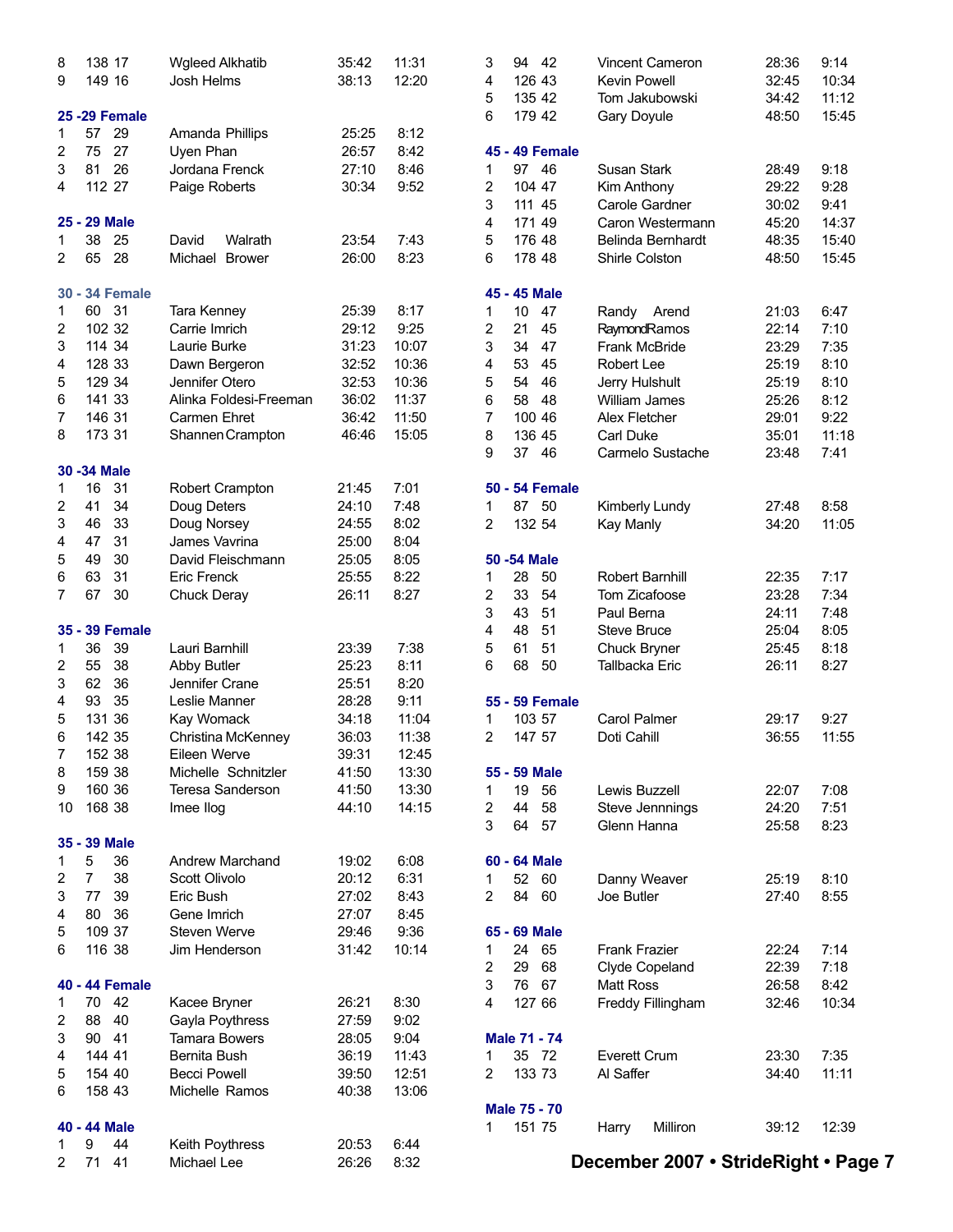| 1      | 9<br>44<br>71         | Keith Poythress               | 20:53<br>26:26 | 6:44<br>8:32 |                |              |                       | December 2007 · StrideRight · Page 7 |                |              |
|--------|-----------------------|-------------------------------|----------------|--------------|----------------|--------------|-----------------------|--------------------------------------|----------------|--------------|
|        |                       |                               |                |              |                |              |                       |                                      |                |              |
|        | 40 - 44 Male          |                               |                |              | 1              | 151 75       |                       | Milliron<br>Harry                    | 39:12          | 12:39        |
|        |                       |                               |                |              |                |              | <b>Male 75 - 70</b>   |                                      |                |              |
| 6      | 158 43                | Michelle Ramos                | 40:38          | 13:06        |                |              |                       |                                      |                |              |
| 5      | 154 40                | <b>Becci Powell</b>           | 39:50          | 12:51        | 2              |              | 133 73                | Al Saffer                            | 34:40          | 11:11        |
| 4      | 144 41                | Bernita Bush                  | 36:19          | 11:43        | 1              |              | 35 72                 | <b>Everett Crum</b>                  | 23:30          | 7:35         |
| 3      | 90<br>41              | <b>Tamara Bowers</b>          | 28:05          | 9:04         |                |              | Male 71 - 74          |                                      |                |              |
| 2      | 88<br>40              | Gayla Poythress               | 27:59          | 9:02         |                |              |                       |                                      |                |              |
| 1      | 70 42                 | Kacee Bryner                  | 26:21          | 8:30         | 4              | 127 66       |                       | Freddy Fillingham                    | 32:46          | 10:34        |
|        | 40 - 44 Female        |                               |                |              | 3              | 76           | 67                    | <b>Matt Ross</b>                     | 26:58          | 8:42         |
|        |                       |                               |                |              | 2              | 29           | 68                    | Clyde Copeland                       | 22:39          | 7:18         |
| 6      |                       |                               | 31:42          | 10:14        | 1              | 24           | 65                    | <b>Frank Frazier</b>                 | 22:24          | 7:14         |
|        | 116 38                | Jim Henderson                 |                |              |                |              |                       |                                      |                |              |
| 5      | 109 37                | Steven Werve                  | 29:46          | 9:36         |                | 65 - 69 Male |                       |                                      |                |              |
| 4      | 36<br>80              | Gene Imrich                   | 27:07          | 8:45         |                |              |                       |                                      |                |              |
| 3      | 77<br>39              | Eric Bush                     | 27:02          | 8:43         | 2              | 84           | 60                    | Joe Butler                           | 27:40          | 8:55         |
| 2      | $\overline{7}$<br>38  | Scott Olivolo                 | 20:12          | 6:31         | 1              | 52           | 60                    | Danny Weaver                         | 25:19          | 8:10         |
| 1      | 5<br>36               | <b>Andrew Marchand</b>        | 19:02          | 6:08         |                | 60 - 64 Male |                       |                                      |                |              |
|        | 35 - 39 Male          |                               |                |              |                |              |                       |                                      |                |              |
|        |                       |                               |                |              | 3              | 64           | 57                    | Glenn Hanna                          | 25:58          | 8:23         |
| 10     | 168 38                | Imee Ilog                     | 44:10          | 14:15        | 2              | 44           | 58                    | Steve Jennnings                      | 24:20          | 7:51         |
| 9      | 160 36                | <b>Teresa Sanderson</b>       | 41:50          | 13:30        | 1              | 19           | 56                    | Lewis Buzzell                        | 22:07          | 7:08         |
| 8      | 159 38                | Michelle Schnitzler           | 41:50          | 13:30        |                | 55 - 59 Male |                       |                                      |                |              |
| 7      | 152 38                | Eileen Werve                  | 39:31          | 12:45        |                |              |                       |                                      |                |              |
| 6      | 142 35                | Christina McKenney            | 36:03          | 11:38        | $\overline{2}$ |              | 147 57                | Doti Cahill                          | 36:55          | 11:55        |
| 5      | 131 36                | Kay Womack                    | 34:18          | 11:04        | 1              |              | 103 57                | <b>Carol Palmer</b>                  | 29:17          | 9:27         |
| 4      | 35<br>93              | Leslie Manner                 | 28:28          | 9:11         |                |              | 55 - 59 Female        |                                      |                |              |
| 3      | 62<br>36              | Jennifer Crane                | 25:51          | 8:20         |                |              |                       |                                      |                |              |
| 2      | 55<br>38              | Abby Butler                   | 25:23          | 8:11         | 6              | 68           | 50                    | Tallbacka Eric                       | 26:11          | 8:27         |
| 1      | 36<br>39              | Lauri Barnhill                | 23:39          | 7:38         | 5              | 61           | 51                    | Chuck Bryner                         | 25:45          | 8:18         |
|        | 35 - 39 Female        |                               |                |              | 4              | 48           | 51                    | <b>Steve Bruce</b>                   | 25:04          | 8:05         |
|        |                       |                               |                |              | 3              | 43           | 51                    | Paul Berna                           | 24:11          | 7:48         |
| 7      | 67<br>30              | <b>Chuck Deray</b>            | 26:11          | 8:27         | 2              | 33           | 54                    | Tom Zicafoose                        | 23:28          | 7:34         |
| 6      | 63<br>31              | Eric Frenck                   | 25:55          | 8:22         | 1              | 28           | 50                    | Robert Barnhill                      | 22:35          | 7:17         |
| 5      | 49<br>30              | David Fleischmann             | 25:05          | 8:05         |                | 50 - 54 Male |                       |                                      |                |              |
| 4      | 31<br>47              | James Vavrina                 | 25:00          | 8:04         |                |              |                       |                                      |                |              |
| 3      | 46<br>33              | Doug Norsey                   | 24:55          | 8:02         | 2              |              | 132 54                | Kay Manly                            | 34:20          | 11:05        |
| 2      | 41<br>34              | Doug Deters                   | 24:10          | 7:48         | 1              | 87           | 50                    | Kimberly Lundy                       | 27:48          | 8:58         |
| 1      | 16<br>31              | Robert Crampton               | 21:45          | 7:01         |                |              | <b>50 - 54 Female</b> |                                      |                |              |
|        |                       |                               |                |              |                |              |                       |                                      |                |              |
|        | 30 - 34 Male          |                               |                |              |                |              |                       |                                      | 23:48          |              |
|        |                       |                               |                |              | 9              | 37           | 46                    | Carmelo Sustache                     |                | 7:41         |
| 8      | 173 31                | Shannen Crampton              | 46:46          | 15:05        | 8              |              | 136 45                | <b>Carl Duke</b>                     | 35:01          | 11:18        |
| 7      | 146 31                | Carmen Ehret                  | 36:42          | 11:50        | 7              | 100 46       |                       | Alex Fletcher                        | 29:01          | 9:22         |
| 6      | 141 33                | Alinka Foldesi-Freeman        | 36:02          | 11:37        | 6              | 58           | 48                    | Jerry Hulshult<br>William James      | 25:26          | 8:12         |
| 5      | 129 34                | Jennifer Otero                | 32:53          | 10:36        | 5              | 54           | 46                    |                                      | 25:19          | 8:10         |
| 3<br>4 | 128 33                | Laurie Burke<br>Dawn Bergeron | 32:52          | 10:36        | 3<br>4         | 53           | 45                    | Frank McBride<br>Robert Lee          | 25:19          | 8:10         |
|        | 114 34                |                               | 31:23          | 10:07        | 2              | 34           | 47                    | RaymondRamos                         | 22:14<br>23:29 | 7:35         |
| 1<br>2 | 60 31<br>102 32       | Tara Kenney<br>Carrie Imrich  | 25:39<br>29:12 | 8:17<br>9:25 | 1              | 10<br>21     | 47<br>45              | Randy Arend                          | 21:03          | 6:47<br>7:10 |
|        |                       |                               |                |              |                |              |                       |                                      |                |              |
|        | <b>30 - 34 Female</b> |                               |                |              |                |              | 45 - 45 Male          |                                      |                |              |
| 2      | 65<br>28              | Michael Brower                | 26:00          | 8:23         | 6              |              |                       | Shirle Colston                       | 48:50          | 15:45        |
| 1      | 38<br>25              | Walrath<br>David              | 23:54          | 7:43         | 5              | 176 48       | 178 48                | Belinda Bernhardt                    | 48:35          | 15:40        |
|        | 25 - 29 Male          |                               |                |              | 4              |              |                       | Caron Westermann                     | 45:20          | 14:37        |
|        |                       |                               |                |              | 3              | 171 49       | 111 45                | Carole Gardner                       | 30:02          | 9:41         |
| 4      | 112 27                | Paige Roberts                 | 30:34          | 9:52         | 2              |              | 104 47                | Kim Anthony                          | 29:22          | 9:28         |
| 3      | 26<br>81              | Jordana Frenck                | 27:10          | 8:46         | 1              | 97           | 46                    | Susan Stark                          | 28:49          | 9:18         |
| 2      | 27<br>75              | Uyen Phan                     | 26:57          | 8:42         |                |              | 45 - 49 Female        |                                      |                |              |
| 1      | 29<br>57              | Amanda Phillips               | 25:25          | 8:12         |                |              |                       |                                      |                |              |
|        | <b>25 - 29 Female</b> |                               |                |              | 6              |              | 179 42                | Gary Doyule                          | 48:50          | 15:45        |
|        |                       |                               |                |              | 5              | 135 42       |                       | Tom Jakubowski                       | 34:42          | 11:12        |
| 9      | 149 16                | Josh Helms                    | 38:13          | 12:20        | 4              |              | 126 43                | <b>Kevin Powell</b>                  | 32:45          | 10:34        |
| 8      | 138 17                | <b>Wgleed Alkhatib</b>        | 35:42          | 11:31        | 3              | 94           | 42                    | Vincent Cameron                      | 28:36          | 9:14         |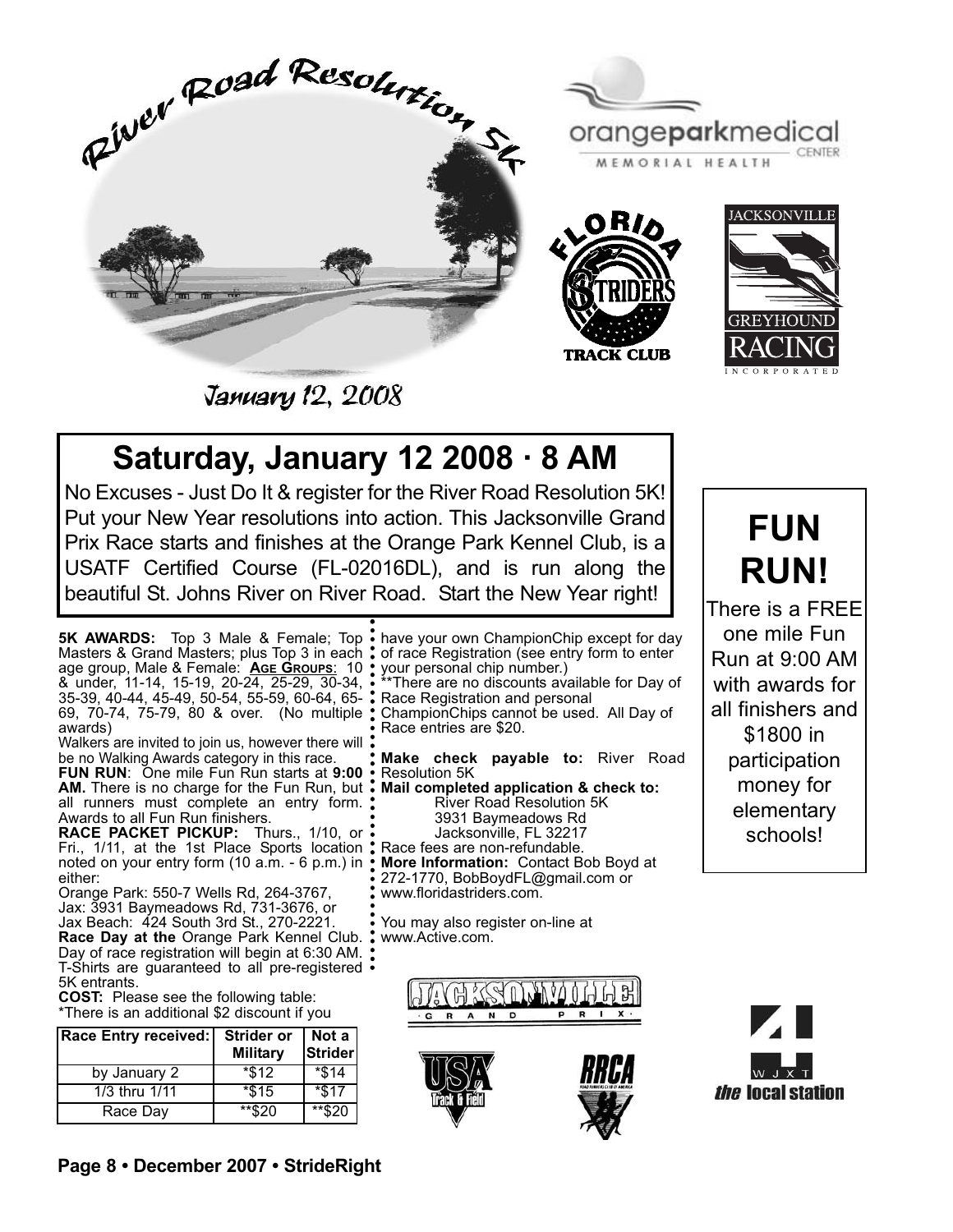

orangeparkmedical MEMORIAL HEALTH





**January 12, 2008** 

## **Saturday, January 12 2008 · 8 AM**

No Excuses - Just Do It & register for the River Road Resolution 5K! Put your New Year resolutions into action. This Jacksonville Grand Prix Race starts and finishes at the Orange Park Kennel Club, is a USATF Certified Course (FL-02016DL), and is run along the beautiful St. Johns River on River Road. Start the New Year right!

**5K AWARDS:** Top 3 Male & Female; Top Masters & Grand Masters; plus Top 3 in each age group, Male & Female: **AGE GROUPS**: 10 & under, 11-14, 15-19, 20-24, 25-29, 30-34, 35-39, 40-44, 45-49, 50-54, 55-59, 60-64, 65- 69, 70-74, 75-79, 80 & over. (No multiple awards)

Walkers are invited to join us, however there will be no Walking Awards category in this race.

**FUN RUN**: One mile Fun Run starts at **9:00 AM.** There is no charge for the Fun Run, but all runners must complete an entry form. Awards to all Fun Run finishers.

**RACE PACKET PICKUP:** Thurs., 1/10, or Fri., 1/11, at the 1st Place Sports location noted on your entry form (10 a.m. - 6 p.m.) in either:

Orange Park: 550-7 Wells Rd, 264-3767, Jax: 3931 Baymeadows Rd, 731-3676, or Jax Beach: 424 South 3rd St., 270-2221. **Race Day at the** Orange Park Kennel Club. Day of race registration will begin at 6:30 AM. T-Shirts are guaranteed to all pre-registered 5K entrants.

**COST:** Please see the following table: \*There is an additional \$2 discount if you

| Race Entry received: | <b>Strider or</b><br><b>Military</b> | Not a $ $<br>Strider |
|----------------------|--------------------------------------|----------------------|
| by January 2         | $*312$                               | $*$ \$14             |
| 1/3 thru 1/11        | $*$ \$15                             | $*$ \$17             |
| Race Day             | $**$ \$20                            | $**$ \$20            |

have your own ChampionChip except for day of race Registration (see entry form to enter your personal chip number.) \*\*There are no discounts available for Day of Race Registration and personal ChampionChips cannot be used. All Day of Race entries are \$20.

**Make check payable to:** River Road Resolution 5K

**Mail completed application & check to:**  River Road Resolution 5K 3931 Baymeadows Rd Jacksonville, FL 32217 Race fees are non-refundable. **More Information:** Contact Bob Boyd at 272-1770, BobBoydFL@gmail.com or www.floridastriders.com.

You may also register on-line at www.Active.com.







**FUN RUN!**

There is a FREE one mile Fun Run at 9:00 AM with awards for all finishers and \$1800 in participation money for elementary schools!

*the* local station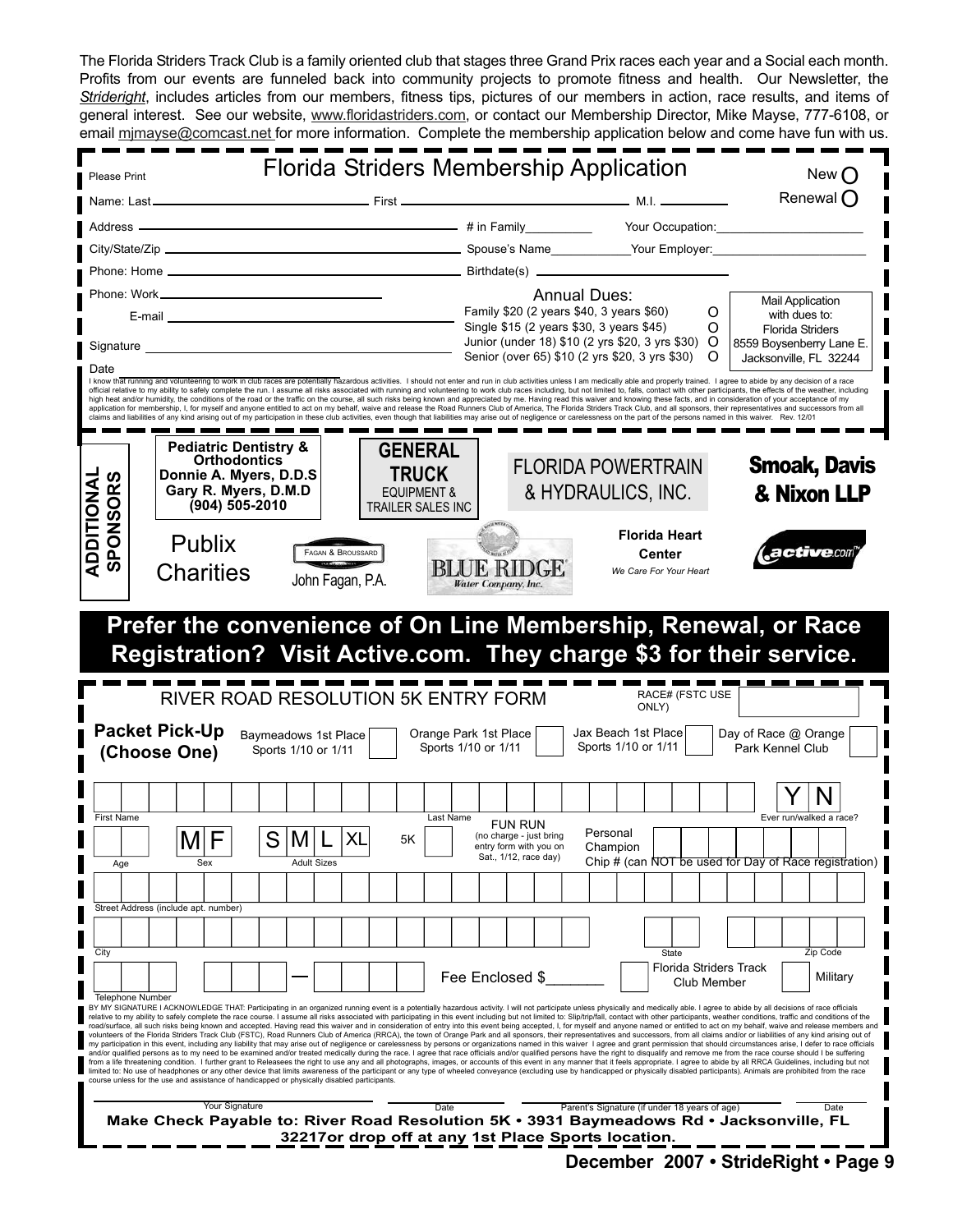The Florida Striders Track Club is a family oriented club that stages three Grand Prix races each year and a Social each month. Profits from our events are funneled back into community projects to promote fitness and health. Our Newsletter, the *Strideright*, includes articles from our members, fitness tips, pictures of our members in action, race results, and items of general interest. See our website, www.floridastriders.com, or contact our Membership Director, Mike Mayse, 777-6108, or email mimayse@comcast.net for more information. Complete the membership application below and come have fun with us.

| Please Print                  |                                       |                                                                                                                                 |                                                                                      |                                                   | Florida Striders Membership Application                                                                                                                                                                                        | New $\bigcap$                                                                                                                                                                                                                                                                                                                                                                                                                                                                                                                                                                                                                                                                                                                                                                                                                                                                                                                                                                                                                                                                                                                                                                                                                                                                                                                                                                                                                                                                                                                                                                                                                                                                                                                                                                                                                                                              |
|-------------------------------|---------------------------------------|---------------------------------------------------------------------------------------------------------------------------------|--------------------------------------------------------------------------------------|---------------------------------------------------|--------------------------------------------------------------------------------------------------------------------------------------------------------------------------------------------------------------------------------|----------------------------------------------------------------------------------------------------------------------------------------------------------------------------------------------------------------------------------------------------------------------------------------------------------------------------------------------------------------------------------------------------------------------------------------------------------------------------------------------------------------------------------------------------------------------------------------------------------------------------------------------------------------------------------------------------------------------------------------------------------------------------------------------------------------------------------------------------------------------------------------------------------------------------------------------------------------------------------------------------------------------------------------------------------------------------------------------------------------------------------------------------------------------------------------------------------------------------------------------------------------------------------------------------------------------------------------------------------------------------------------------------------------------------------------------------------------------------------------------------------------------------------------------------------------------------------------------------------------------------------------------------------------------------------------------------------------------------------------------------------------------------------------------------------------------------------------------------------------------------|
|                               |                                       |                                                                                                                                 |                                                                                      |                                                   |                                                                                                                                                                                                                                | Renewal $\bigcap$                                                                                                                                                                                                                                                                                                                                                                                                                                                                                                                                                                                                                                                                                                                                                                                                                                                                                                                                                                                                                                                                                                                                                                                                                                                                                                                                                                                                                                                                                                                                                                                                                                                                                                                                                                                                                                                          |
| Address -                     |                                       |                                                                                                                                 |                                                                                      |                                                   |                                                                                                                                                                                                                                | material contracts and the material of the state of the Hamily Cour Occupation:                                                                                                                                                                                                                                                                                                                                                                                                                                                                                                                                                                                                                                                                                                                                                                                                                                                                                                                                                                                                                                                                                                                                                                                                                                                                                                                                                                                                                                                                                                                                                                                                                                                                                                                                                                                            |
|                               |                                       |                                                                                                                                 |                                                                                      |                                                   |                                                                                                                                                                                                                                |                                                                                                                                                                                                                                                                                                                                                                                                                                                                                                                                                                                                                                                                                                                                                                                                                                                                                                                                                                                                                                                                                                                                                                                                                                                                                                                                                                                                                                                                                                                                                                                                                                                                                                                                                                                                                                                                            |
|                               |                                       |                                                                                                                                 |                                                                                      |                                                   |                                                                                                                                                                                                                                |                                                                                                                                                                                                                                                                                                                                                                                                                                                                                                                                                                                                                                                                                                                                                                                                                                                                                                                                                                                                                                                                                                                                                                                                                                                                                                                                                                                                                                                                                                                                                                                                                                                                                                                                                                                                                                                                            |
|                               |                                       |                                                                                                                                 |                                                                                      |                                                   | <b>Annual Dues:</b>                                                                                                                                                                                                            | <b>Mail Application</b>                                                                                                                                                                                                                                                                                                                                                                                                                                                                                                                                                                                                                                                                                                                                                                                                                                                                                                                                                                                                                                                                                                                                                                                                                                                                                                                                                                                                                                                                                                                                                                                                                                                                                                                                                                                                                                                    |
|                               |                                       | E-mail 2008 2009 2010 2021 2022 2023 2024 2022 2023 2024 2022 2023 2024 2022 2023 2024 2022 2023 2024 2022 20                   |                                                                                      |                                                   | Family \$20 (2 years \$40, 3 years \$60)<br>Single \$15 (2 years \$30, 3 years \$45)                                                                                                                                           | O<br>with dues to:                                                                                                                                                                                                                                                                                                                                                                                                                                                                                                                                                                                                                                                                                                                                                                                                                                                                                                                                                                                                                                                                                                                                                                                                                                                                                                                                                                                                                                                                                                                                                                                                                                                                                                                                                                                                                                                         |
| Signature _                   |                                       | <u> 1980 - Johann Barbara, martxa alemaniar amerikan a</u>                                                                      |                                                                                      |                                                   | Junior (under 18) \$10 (2 yrs \$20, 3 yrs \$30)                                                                                                                                                                                | O<br><b>Florida Striders</b><br>$\circ$<br>8559 Boysenberry Lane E.                                                                                                                                                                                                                                                                                                                                                                                                                                                                                                                                                                                                                                                                                                                                                                                                                                                                                                                                                                                                                                                                                                                                                                                                                                                                                                                                                                                                                                                                                                                                                                                                                                                                                                                                                                                                        |
| Date                          |                                       |                                                                                                                                 |                                                                                      |                                                   | Senior (over 65) \$10 (2 yrs \$20, 3 yrs \$30)                                                                                                                                                                                 | O<br>Jacksonville, FL 32244                                                                                                                                                                                                                                                                                                                                                                                                                                                                                                                                                                                                                                                                                                                                                                                                                                                                                                                                                                                                                                                                                                                                                                                                                                                                                                                                                                                                                                                                                                                                                                                                                                                                                                                                                                                                                                                |
|                               |                                       |                                                                                                                                 |                                                                                      |                                                   | claims and liabilities of any kind arising out of my participation in these club activities, even though that liabilities may arise out of negligence or carelessness on the part of the persons named in this waiver. Rev. 12 | I know that running and volunteering to work in club races are potentially hazardous activities. I should not enter and run in club activities unless I am medically able and properly trained. I agree to abide by any decisi<br>official relative to my ability to safely complete the run. I assume all risks associated with running and volunteering to work club races including, but not limited to, falls, contact with other participants, the effects<br>high heat and/or humidity, the conditions of the road or the traffic on the course, all such risks being known and appreciated by me. Having read this waiver and knowing these facts, and in consideration of your acceptance<br>application for membership, I, for myself and anyone entitled to act on my behalf, waive and release the Road Runners Club of America, The Florida Striders Track Club, and all sponsors, their representatives and successors                                                                                                                                                                                                                                                                                                                                                                                                                                                                                                                                                                                                                                                                                                                                                                                                                                                                                                                                        |
|                               |                                       | <b>Pediatric Dentistry &amp;</b><br><b>Orthodontics</b><br>Donnie A. Myers, D.D.S<br>Gary R. Myers, D.M.D<br>$(904) 505 - 2010$ | <b>GENERAL</b><br><b>TRUCK</b><br><b>EQUIPMENT &amp;</b><br><b>TRAILER SALES INC</b> |                                                   | <b>FLORIDA POWERTRAIN</b><br>& HYDRAULICS, INC.                                                                                                                                                                                | <b>Smoak, Davis</b><br>& Nixon LLP                                                                                                                                                                                                                                                                                                                                                                                                                                                                                                                                                                                                                                                                                                                                                                                                                                                                                                                                                                                                                                                                                                                                                                                                                                                                                                                                                                                                                                                                                                                                                                                                                                                                                                                                                                                                                                         |
| ADDITIONAL<br><b>SPONSORS</b> | Publix<br><b>Charities</b>            | FAGAN & BROUSSARD<br>John Fagan, P.A.                                                                                           |                                                                                      | BLUE RIDGE<br>Water Company, Inc.                 | <b>Florida Heart</b><br>Center<br>We Care For Your Heart                                                                                                                                                                       | active.com                                                                                                                                                                                                                                                                                                                                                                                                                                                                                                                                                                                                                                                                                                                                                                                                                                                                                                                                                                                                                                                                                                                                                                                                                                                                                                                                                                                                                                                                                                                                                                                                                                                                                                                                                                                                                                                                 |
|                               |                                       | RIVER ROAD RESOLUTION 5K ENTRY FORM                                                                                             |                                                                                      |                                                   | <b>RACE# (FSTC USE</b>                                                                                                                                                                                                         | Prefer the convenience of On Line Membership, Renewal, or Race<br>Registration? Visit Active.com. They charge \$3 for their service.                                                                                                                                                                                                                                                                                                                                                                                                                                                                                                                                                                                                                                                                                                                                                                                                                                                                                                                                                                                                                                                                                                                                                                                                                                                                                                                                                                                                                                                                                                                                                                                                                                                                                                                                       |
|                               | <b>Packet Pick-Up</b><br>(Choose One) | Baymeadows 1st Place<br>Sports 1/10 or 1/11                                                                                     |                                                                                      | Orange Park 1st Place<br>Sports 1/10 or 1/11      | ONLY)<br>Jax Beach 1st Place<br>Sports 1/10 or 1/11                                                                                                                                                                            | Day of Race @ Orange<br>Park Kennel Club                                                                                                                                                                                                                                                                                                                                                                                                                                                                                                                                                                                                                                                                                                                                                                                                                                                                                                                                                                                                                                                                                                                                                                                                                                                                                                                                                                                                                                                                                                                                                                                                                                                                                                                                                                                                                                   |
|                               |                                       |                                                                                                                                 |                                                                                      |                                                   |                                                                                                                                                                                                                                |                                                                                                                                                                                                                                                                                                                                                                                                                                                                                                                                                                                                                                                                                                                                                                                                                                                                                                                                                                                                                                                                                                                                                                                                                                                                                                                                                                                                                                                                                                                                                                                                                                                                                                                                                                                                                                                                            |
| First Name                    |                                       |                                                                                                                                 |                                                                                      | Last Name<br><b>FUN RUN</b>                       |                                                                                                                                                                                                                                | Ever run/walked a race?                                                                                                                                                                                                                                                                                                                                                                                                                                                                                                                                                                                                                                                                                                                                                                                                                                                                                                                                                                                                                                                                                                                                                                                                                                                                                                                                                                                                                                                                                                                                                                                                                                                                                                                                                                                                                                                    |
|                               | IVI                                   | $\mathsf{I}\mathsf{M}$<br>C.                                                                                                    | X <sub>l</sub><br>5Κ                                                                 | (no charge - just bring<br>entry form with you on | Personal<br>Champion                                                                                                                                                                                                           |                                                                                                                                                                                                                                                                                                                                                                                                                                                                                                                                                                                                                                                                                                                                                                                                                                                                                                                                                                                                                                                                                                                                                                                                                                                                                                                                                                                                                                                                                                                                                                                                                                                                                                                                                                                                                                                                            |
| Age                           | Sex                                   | <b>Adult Sizes</b>                                                                                                              |                                                                                      | Sat., 1/12, race day)                             |                                                                                                                                                                                                                                | Chip # (can NOT be used for Day of Race registration)                                                                                                                                                                                                                                                                                                                                                                                                                                                                                                                                                                                                                                                                                                                                                                                                                                                                                                                                                                                                                                                                                                                                                                                                                                                                                                                                                                                                                                                                                                                                                                                                                                                                                                                                                                                                                      |
|                               |                                       |                                                                                                                                 |                                                                                      |                                                   |                                                                                                                                                                                                                                |                                                                                                                                                                                                                                                                                                                                                                                                                                                                                                                                                                                                                                                                                                                                                                                                                                                                                                                                                                                                                                                                                                                                                                                                                                                                                                                                                                                                                                                                                                                                                                                                                                                                                                                                                                                                                                                                            |
|                               | Street Address (include apt. number)  |                                                                                                                                 |                                                                                      |                                                   |                                                                                                                                                                                                                                |                                                                                                                                                                                                                                                                                                                                                                                                                                                                                                                                                                                                                                                                                                                                                                                                                                                                                                                                                                                                                                                                                                                                                                                                                                                                                                                                                                                                                                                                                                                                                                                                                                                                                                                                                                                                                                                                            |
|                               |                                       |                                                                                                                                 |                                                                                      |                                                   |                                                                                                                                                                                                                                |                                                                                                                                                                                                                                                                                                                                                                                                                                                                                                                                                                                                                                                                                                                                                                                                                                                                                                                                                                                                                                                                                                                                                                                                                                                                                                                                                                                                                                                                                                                                                                                                                                                                                                                                                                                                                                                                            |
| City                          |                                       |                                                                                                                                 |                                                                                      |                                                   | <b>State</b>                                                                                                                                                                                                                   | Zip Code                                                                                                                                                                                                                                                                                                                                                                                                                                                                                                                                                                                                                                                                                                                                                                                                                                                                                                                                                                                                                                                                                                                                                                                                                                                                                                                                                                                                                                                                                                                                                                                                                                                                                                                                                                                                                                                                   |
|                               |                                       |                                                                                                                                 |                                                                                      | Fee Enclosed \$                                   |                                                                                                                                                                                                                                | Florida Striders Track<br>Military<br>Club Member                                                                                                                                                                                                                                                                                                                                                                                                                                                                                                                                                                                                                                                                                                                                                                                                                                                                                                                                                                                                                                                                                                                                                                                                                                                                                                                                                                                                                                                                                                                                                                                                                                                                                                                                                                                                                          |
| <b>Telephone Number</b>       |                                       | course unless for the use and assistance of handicapped or physically disabled participants.                                    |                                                                                      |                                                   |                                                                                                                                                                                                                                | BY MY SIGNATURE I ACKNOWLEDGE THAT: Participating in an organized running event is a potentially hazardous activity. I will not participate unless physically and medically able. I agree to abide by all decisions of race of<br>relative to my ability to safely complete the race course. I assume all risks associated with participating in this event including but not limited to: Slip/trip/fall, contact with other participants, weather conditions, t<br>road/surface, all such risks being known and accepted. Having read this waiver and in consideration of entry into this event being accepted, I, for myself and anyone named or entitled to act on my behalf, waive and release<br>volunteers of the Florida Striders Track Club (FSTC), Road Runners Club of America (RRCA), the town of Orange Park and all sponsors, their representatives and successors, from all claims and/or or liabilities of any kind a<br>my participation in this event, including any liability that may arise out of negligence or carelessness by persons or organizations named in this waiver I agree and grant permission that should circumstances arise, I defe<br>and/or qualified persons as to my need to be examined and/or treated medically during the race. I agree that race officials and/or qualified persons have the right to disqualify and remove me from the race course should I<br>from a life threatening condition. I further grant to Releasees the right to use any and all photographs, images, or accounts of this event in any manner that it feels appropriate. I agree to abide by all RRCA Guidelines,<br>limited to: No use of headphones or any other device that limits awareness of the participant or any type of wheeled conveyance (excluding use by handicapped or physically disabled participants). Animals are prohibited fro |
|                               |                                       | Your Signature                                                                                                                  | Date                                                                                 |                                                   | Parent's Signature (if under 18 years of age)<br>32217or drop off at any 1st Place Sports location.                                                                                                                            | Date<br>Make Check Payable to: River Road Resolution 5K · 3931 Baymeadows Rd · Jacksonville, FL                                                                                                                                                                                                                                                                                                                                                                                                                                                                                                                                                                                                                                                                                                                                                                                                                                                                                                                                                                                                                                                                                                                                                                                                                                                                                                                                                                                                                                                                                                                                                                                                                                                                                                                                                                            |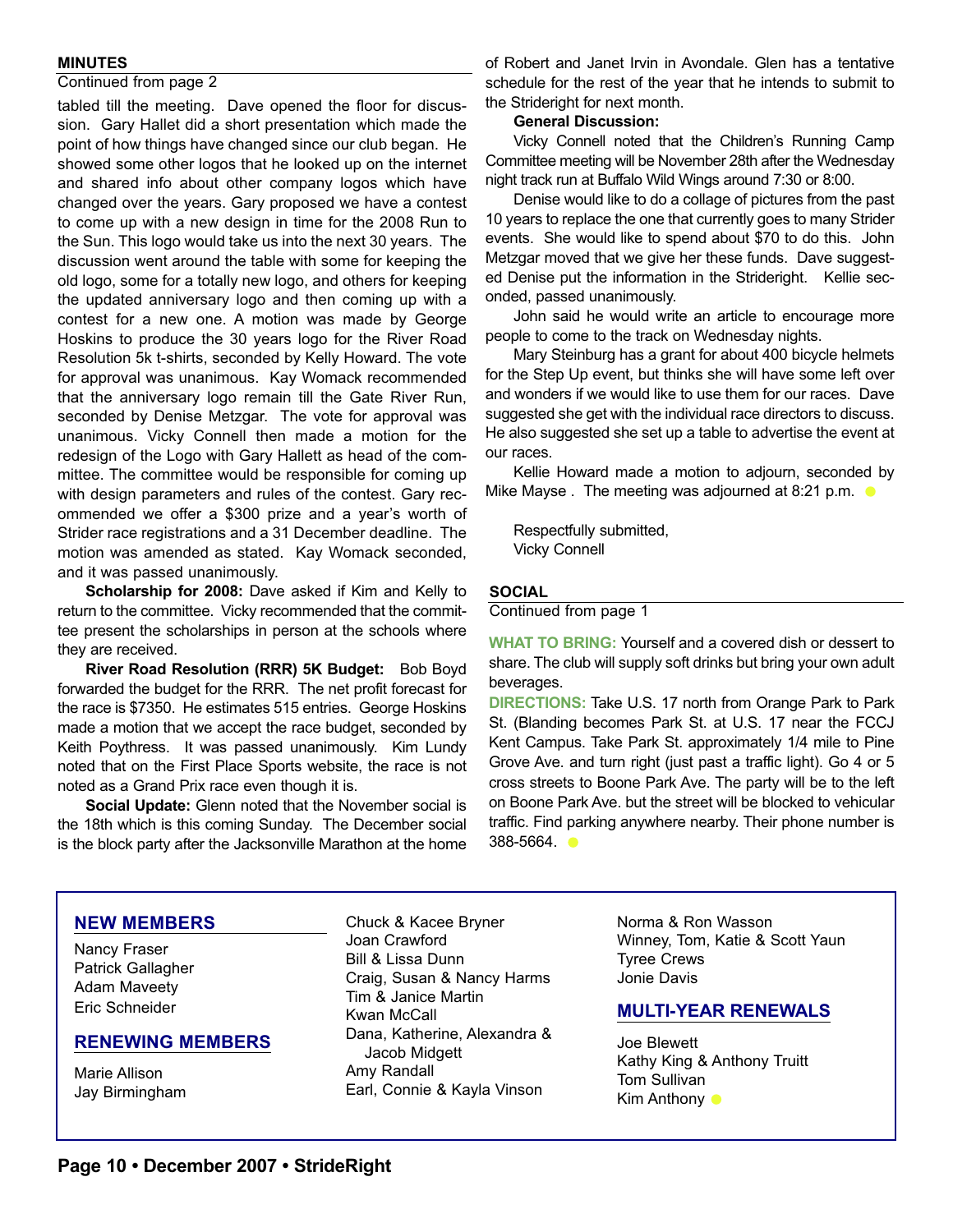#### **MINUTES**

#### Continued from page 2

tabled till the meeting. Dave opened the floor for discussion. Gary Hallet did a short presentation which made the point of how things have changed since our club began. He showed some other logos that he looked up on the internet and shared info about other company logos which have changed over the years. Gary proposed we have a contest to come up with a new design in time for the 2008 Run to the Sun. This logo would take us into the next 30 years. The discussion went around the table with some for keeping the old logo, some for a totally new logo, and others for keeping the updated anniversary logo and then coming up with a contest for a new one. A motion was made by George Hoskins to produce the 30 years logo for the River Road Resolution 5k t-shirts, seconded by Kelly Howard. The vote for approval was unanimous. Kay Womack recommended that the anniversary logo remain till the Gate River Run, seconded by Denise Metzgar. The vote for approval was unanimous. Vicky Connell then made a motion for the redesign of the Logo with Gary Hallett as head of the committee. The committee would be responsible for coming up with design parameters and rules of the contest. Gary recommended we offer a \$300 prize and a year's worth of Strider race registrations and a 31 December deadline. The motion was amended as stated. Kay Womack seconded, and it was passed unanimously.

**Scholarship for 2008:** Dave asked if Kim and Kelly to return to the committee. Vicky recommended that the committee present the scholarships in person at the schools where they are received.

**River Road Resolution (RRR) 5K Budget:** Bob Boyd forwarded the budget for the RRR. The net profit forecast for the race is \$7350. He estimates 515 entries. George Hoskins made a motion that we accept the race budget, seconded by Keith Poythress. It was passed unanimously. Kim Lundy noted that on the First Place Sports website, the race is not noted as a Grand Prix race even though it is.

**Social Update:** Glenn noted that the November social is the 18th which is this coming Sunday. The December social is the block party after the Jacksonville Marathon at the home of Robert and Janet Irvin in Avondale. Glen has a tentative schedule for the rest of the year that he intends to submit to the Strideright for next month.

#### **General Discussion:**

Vicky Connell noted that the Children's Running Camp Committee meeting will be November 28th after the Wednesday night track run at Buffalo Wild Wings around 7:30 or 8:00.

Denise would like to do a collage of pictures from the past 10 years to replace the one that currently goes to many Strider events. She would like to spend about \$70 to do this. John Metzgar moved that we give her these funds. Dave suggested Denise put the information in the Strideright. Kellie seconded, passed unanimously.

John said he would write an article to encourage more people to come to the track on Wednesday nights.

Mary Steinburg has a grant for about 400 bicycle helmets for the Step Up event, but thinks she will have some left over and wonders if we would like to use them for our races. Dave suggested she get with the individual race directors to discuss. He also suggested she set up a table to advertise the event at our races.

Kellie Howard made a motion to adjourn, seconded by Mike Mayse . The meeting was adjourned at 8:21 p.m.  $\bullet$ 

Respectfully submitted, Vicky Connell

#### **SOCIAL**

Continued from page 1

**WHAT TO BRING:** Yourself and a covered dish or dessert to share. The club will supply soft drinks but bring your own adult beverages.

**DIRECTIONS:** Take U.S. 17 north from Orange Park to Park St. (Blanding becomes Park St. at U.S. 17 near the FCCJ Kent Campus. Take Park St. approximately 1/4 mile to Pine Grove Ave. and turn right (just past a traffic light). Go 4 or 5 cross streets to Boone Park Ave. The party will be to the left on Boone Park Ave. but the street will be blocked to vehicular traffic. Find parking anywhere nearby. Their phone number is 388-5664.

#### **NEW MEMBERS**

Nancy Fraser Patrick Gallagher Adam Maveety Eric Schneider

#### **RENEWING MEMBERS**

Marie Allison Jay Birmingham

Chuck & Kacee Bryner Joan Crawford Bill & Lissa Dunn Craig, Susan & Nancy Harms Tim & Janice Martin Kwan McCall Dana, Katherine, Alexandra & Jacob Midgett Amy Randall Earl, Connie & Kayla Vinson

Norma & Ron Wasson Winney, Tom, Katie & Scott Yaun Tyree Crews Jonie Davis

#### **MULTI-YEAR RENEWALS**

Joe Blewett Kathy King & Anthony Truitt Tom Sullivan Kim Anthony **O**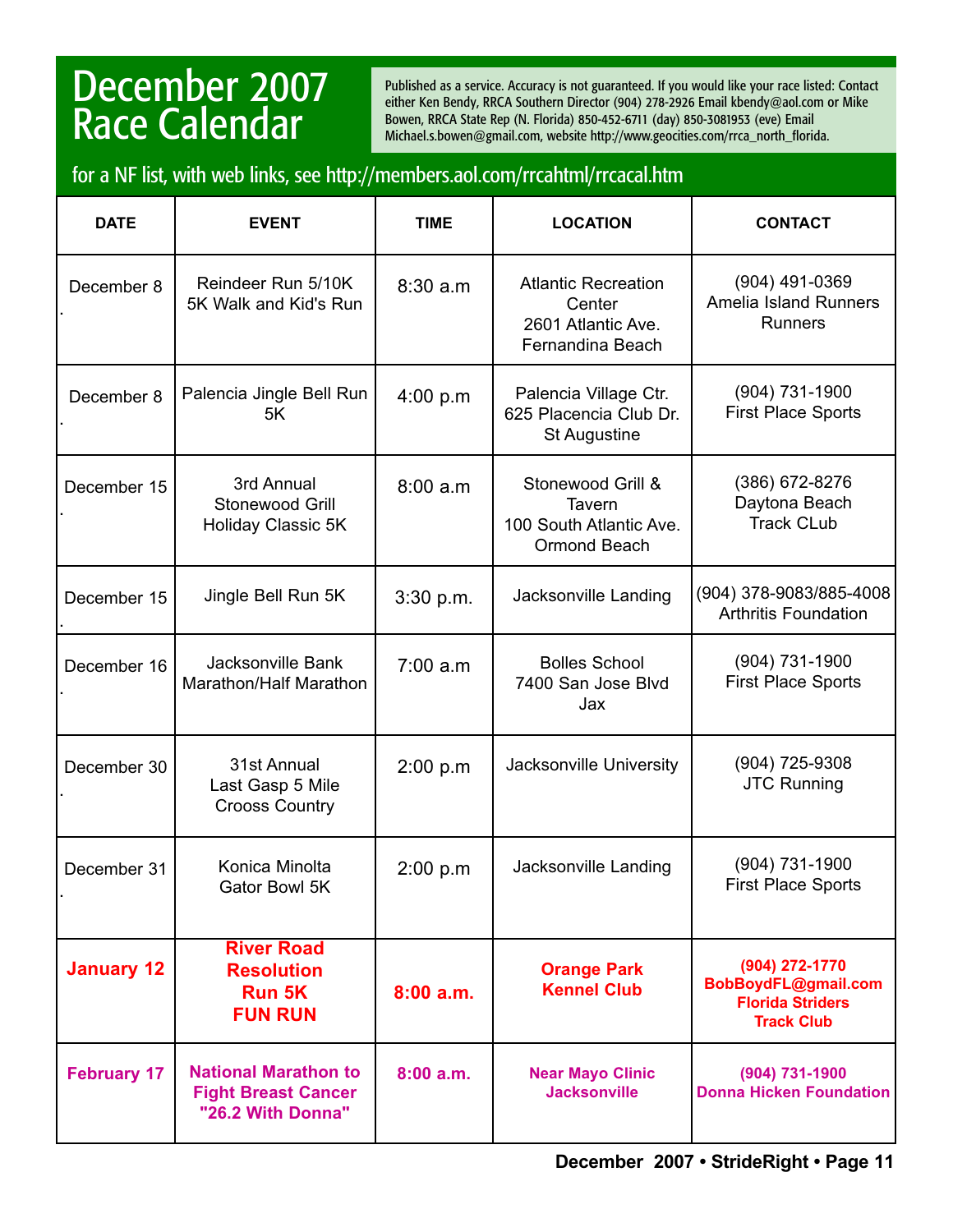## December 2007 Race Calendar

Published as a service. Accuracy is not guaranteed. If you would like your race listed: Contact either Ken Bendy, RRCA Southern Director (904) 278-2926 Email kbendy@aol.com or Mike Bowen, RRCA State Rep (N. Florida) 850-452-6711 (day) 850-3081953 (eve) Email Michael.s.bowen@gmail.com, website http://www.geocities.com/rrca\_north\_florida.

#### for a NF list, with web links, see http://members.aol.com/rrcahtml/rrcacal.htm

| <b>DATE</b>        | <b>EVENT</b>                                                                   | <b>TIME</b> | <b>LOCATION</b>                                                                | <b>CONTACT</b>                                                                        |
|--------------------|--------------------------------------------------------------------------------|-------------|--------------------------------------------------------------------------------|---------------------------------------------------------------------------------------|
| December 8         | Reindeer Run 5/10K<br>5K Walk and Kid's Run                                    | 8:30 a.m    | <b>Atlantic Recreation</b><br>Center<br>2601 Atlantic Ave.<br>Fernandina Beach | $(904)$ 491-0369<br><b>Amelia Island Runners</b><br><b>Runners</b>                    |
| December 8         | Palencia Jingle Bell Run<br>5K                                                 | 4:00 p.m    | Palencia Village Ctr.<br>625 Placencia Club Dr.<br><b>St Augustine</b>         | $(904) 731 - 1900$<br><b>First Place Sports</b>                                       |
| December 15        | 3rd Annual<br>Stonewood Grill<br><b>Holiday Classic 5K</b>                     | 8:00a.m     | Stonewood Grill &<br>Tavern<br>100 South Atlantic Ave.<br>Ormond Beach         | (386) 672-8276<br>Daytona Beach<br><b>Track CLub</b>                                  |
| December 15        | Jingle Bell Run 5K                                                             | 3:30 p.m.   | Jacksonville Landing                                                           | (904) 378-9083/885-4008<br><b>Arthritis Foundation</b>                                |
| December 16        | <b>Jacksonville Bank</b><br>Marathon/Half Marathon                             | 7:00 a.m    | <b>Bolles School</b><br>7400 San Jose Blvd<br>Jax                              | (904) 731-1900<br><b>First Place Sports</b>                                           |
| December 30        | 31st Annual<br>Last Gasp 5 Mile<br><b>Crooss Country</b>                       | 2:00 p.m    | Jacksonville University                                                        | (904) 725-9308<br><b>JTC Running</b>                                                  |
| December 31        | Konica Minolta<br>Gator Bowl 5K                                                | 2:00 p.m    | Jacksonville Landing                                                           | (904) 731-1900<br><b>First Place Sports</b>                                           |
| <b>January 12</b>  | <b>River Road</b><br><b>Resolution</b><br><b>Run 5K</b><br><b>FUN RUN</b>      | 8:00a.m.    | <b>Orange Park</b><br><b>Kennel Club</b>                                       | (904) 272-1770<br>BobBoydFL@gmail.com<br><b>Florida Striders</b><br><b>Track Club</b> |
| <b>February 17</b> | <b>National Marathon to</b><br><b>Fight Breast Cancer</b><br>"26.2 With Donna" | 8:00a.m.    | <b>Near Mayo Clinic</b><br><b>Jacksonville</b>                                 | (904) 731-1900<br><b>Donna Hicken Foundation</b>                                      |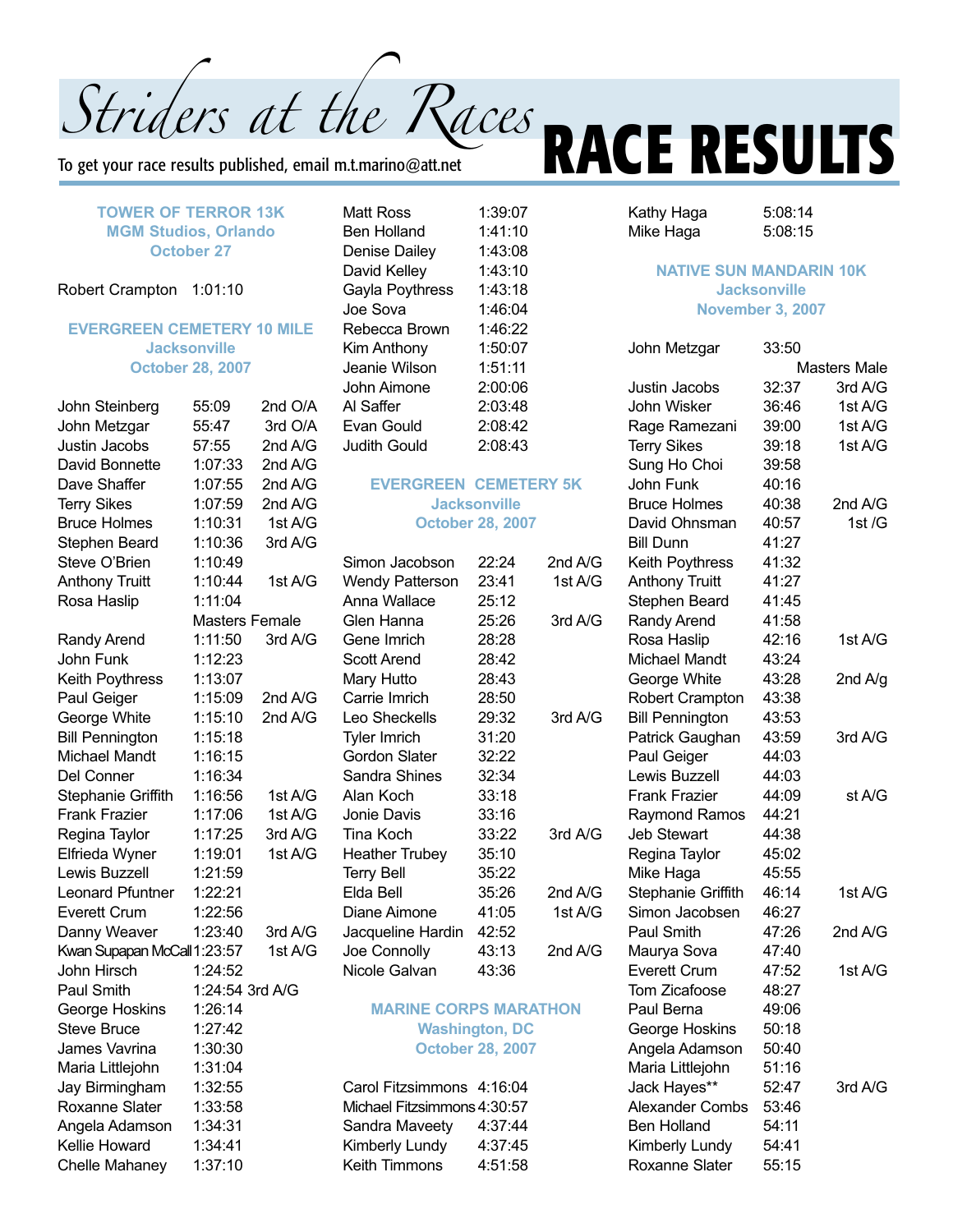To get your race results published, email m.t.marino@att.net

#### **TOWER OF TERROR 13K MGM Studios, Orlando October 27**

#### Robert Crampton 1:01:10

#### **EVERGREEN CEMETERY 10 MILE Jacksonville October 28, 2007**

| John Steinberg              | 55:09           | 2nd O/A        |
|-----------------------------|-----------------|----------------|
| John Metzgar                | 55:47           | 3rd O/A        |
| Justin Jacobs               | 57:55           | 2nd A/G        |
| David Bonnette              | 1:07:33         | 2nd A/G        |
| Dave Shaffer                | 1:07:55         | 2nd A/G        |
| <b>Terry Sikes</b>          | 1:07:59         | 2nd A/G        |
| <b>Bruce Holmes</b>         | 1:10:31         | 1st A/G        |
| Stephen Beard               | 1:10:36         | 3rd A/G        |
| Steve O'Brien               | 1:10:49         |                |
| <b>Anthony Truitt</b>       | 1:10:44         | 1st A/G        |
| Rosa Haslip                 | 1:11:04         |                |
|                             |                 | Masters Female |
| Randy Arend                 | 1:11:50         | 3rd A/G        |
| John Funk                   | 1:12:23         |                |
| Keith Poythress             | 1:13:07         |                |
| Paul Geiger                 | 1:15:09         | 2nd A/G        |
| George White                | 1:15:10         | 2nd A/G        |
| <b>Bill Pennington</b>      | 1:15:18         |                |
| <b>Michael Mandt</b>        | 1:16:15         |                |
| Del Conner                  | 1:16:34         |                |
| Stephanie Griffith          | 1:16:56         | 1st A/G        |
| <b>Frank Frazier</b>        | 1:17:06         | 1st A/G        |
| Regina Taylor               | 1:17:25         | 3rd A/G        |
| Elfrieda Wyner              | 1:19:01         | 1st A/G        |
| <b>Lewis Buzzell</b>        | 1:21:59         |                |
| <b>Leonard Pfuntner</b>     | 1:22:21         |                |
| <b>Everett Crum</b>         | 1:22:56         |                |
| Danny Weaver                | 1:23:40         | 3rd A/G        |
| Kwan Supapan McCall 1:23:57 |                 | 1st A/G        |
| John Hirsch                 | 1:24:52         |                |
| Paul Smith                  | 1:24:54 3rd A/G |                |
| George Hoskins              | 1:26:14         |                |
| <b>Steve Bruce</b>          | 1:27:42         |                |
| James Vavrina               | 1:30:30         |                |
| Maria Littlejohn            | 1:31:04         |                |
| Jay Birmingham              | 1:32:55         |                |
| Roxanne Slater              | 1:33:58         |                |
| Angela Adamson              | 1:34:31         |                |
| Kellie Howard               | 1:34:41         |                |
| <b>Chelle Mahaney</b>       | 1:37:10         |                |

Matt Ross 1:39:07 Ben Holland 1:41:10 Denise Dailey 1:43:08 David Kelley 1:43:10 Gayla Poythress 1:43:18 Joe Sova 1:46:04 Rebecca Brown 1:46:22 Kim Anthony 1:50:07 Jeanie Wilson 1:51:11 John Aimone 2:00:06 Al Saffer 2:03:48 Evan Gould 2:08:42 Judith Gould 2:08:43

#### **EVERGREEN CEMETERY 5K Jacksonville October 28, 2007**

| Simon Jacobson         | 22:24 | 2nd A/G |
|------------------------|-------|---------|
| <b>Wendy Patterson</b> | 23:41 | 1st A/G |
| Anna Wallace           | 25:12 |         |
| Glen Hanna             | 25:26 | 3rd A/G |
| Gene Imrich            | 28:28 |         |
| Scott Arend            | 28:42 |         |
| Mary Hutto             | 28:43 |         |
| Carrie Imrich          | 28:50 |         |
| Leo Sheckells          | 29:32 | 3rd A/G |
| <b>Tyler Imrich</b>    | 31:20 |         |
| Gordon Slater          | 32:22 |         |
| Sandra Shines          | 32:34 |         |
| Alan Koch              | 33:18 |         |
| Jonie Davis            | 33:16 |         |
| Tina Koch              | 33:22 | 3rd A/G |
| <b>Heather Trubey</b>  | 35:10 |         |
| <b>Terry Bell</b>      | 35:22 |         |
| Elda Bell              | 35:26 | 2nd A/G |
| Diane Aimone           | 41:05 | 1st A/G |
| Jacqueline Hardin      | 42:52 |         |
| Joe Connolly           | 43:13 | 2nd A/G |
| Nicole Galvan          | 43:36 |         |

#### **MARINE CORPS MARATHON Washington, DC October 28, 2007**

| Carol Fitzsimmons 4:16:04   |         |
|-----------------------------|---------|
| Michael Fitzsimmons 4:30:57 |         |
| Sandra Maveety              | 4:37:44 |
| Kimberly Lundy              | 4:37:45 |
| <b>Keith Timmons</b>        | 4:51:58 |

# Striders at the Races **RACE RESULTS**

Kathy Haga 5:08:14 Mike Haga 5:08:15

#### **NATIVE SUN MANDARIN 10K Jacksonville November 3, 2007**

| Masters Male |         |  |
|--------------|---------|--|
| 32:37        | 3rd A/G |  |
| 36:46        | 1st A/G |  |
| 39:00        | 1st A/G |  |
| 39:18        | 1st A/G |  |
| 39:58        |         |  |
| 40:16        |         |  |
| 40:38        | 2nd A/G |  |
| 40:57        | 1st /G  |  |
| 41:27        |         |  |
| 41:32        |         |  |
| 41:27        |         |  |
| 41:45        |         |  |
| 41:58        |         |  |
| 42:16        | 1st A/G |  |
| 43:24        |         |  |
| 43:28        | 2nd A/g |  |
| 43:38        |         |  |
| 43:53        |         |  |
| 43:59        | 3rd A/G |  |
| 44:03        |         |  |
| 44:03        |         |  |
| 44:09        | st A/G  |  |
| 44:21        |         |  |
| 44:38        |         |  |
| 45:02        |         |  |
| 45:55        |         |  |
| 46:14        | 1st A/G |  |
| 46:27        |         |  |
| 47:26        | 2nd A/G |  |
| 47:40        |         |  |
| 47:52        | 1st A/G |  |
| 48:27        |         |  |
| 49:06        |         |  |
| 50:18        |         |  |
| 50:40        |         |  |
| 51:16        |         |  |
| 52:47        | 3rd A/G |  |
| 53:46        |         |  |
| 54:11        |         |  |
| 54:41        |         |  |
| 55:15        |         |  |
|              | 33:50   |  |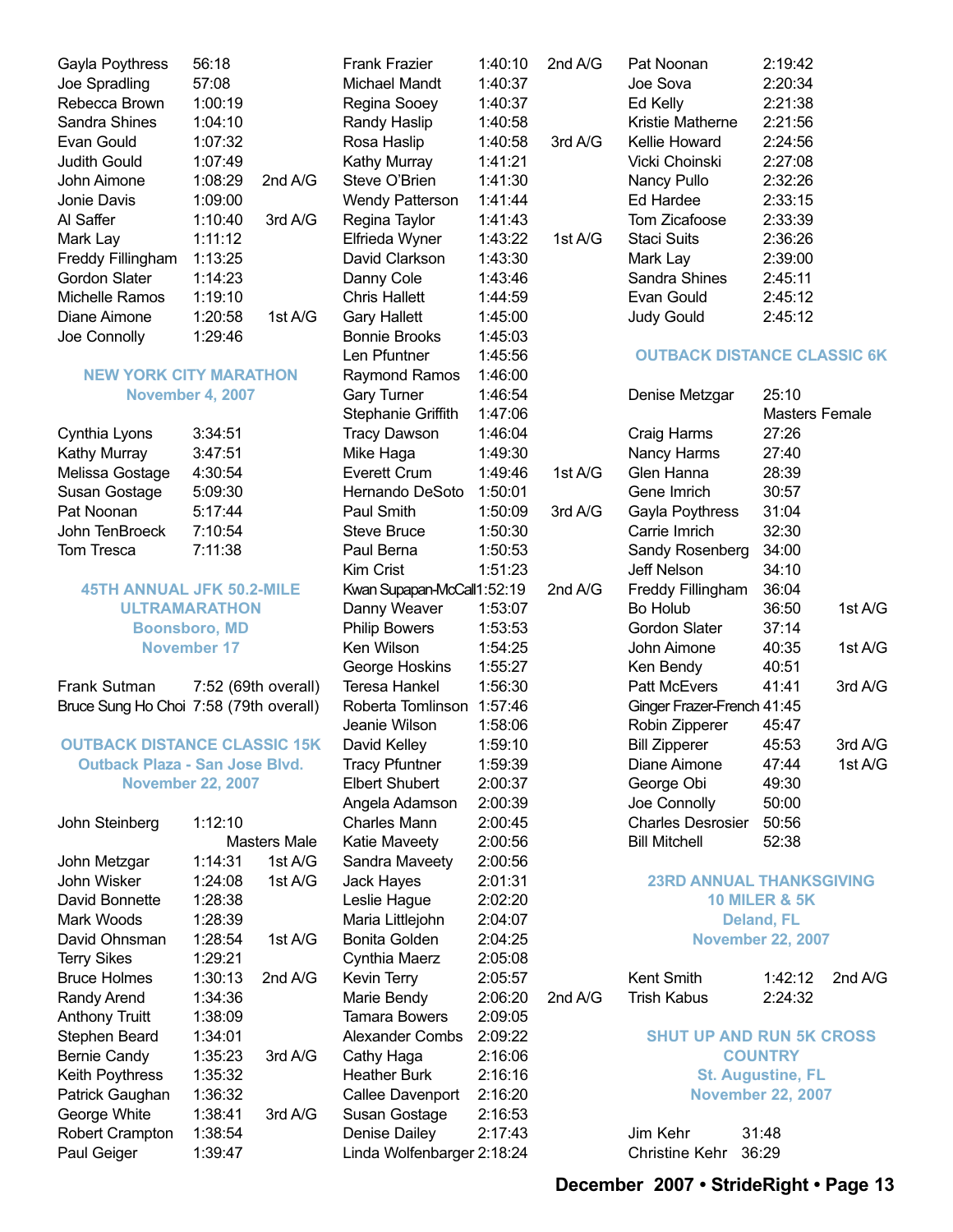| Gayla Poythress   | 56:18   |           |
|-------------------|---------|-----------|
| Joe Spradling     | 57:08   |           |
| Rebecca Brown     | 1:00:19 |           |
| Sandra Shines     | 1:04:10 |           |
| Evan Gould        | 1:07:32 |           |
| Judith Gould      | 1:07:49 |           |
| John Aimone       | 1:08:29 | 2nd A/G   |
| Jonie Davis       | 1:09:00 |           |
| Al Saffer         | 1:10:40 | 3rdA/G    |
| Mark Lay          | 1:11:12 |           |
| Freddy Fillingham | 1:13:25 |           |
| Gordon Slater     | 1:14:23 |           |
| Michelle Ramos    | 1:19:10 |           |
| Diane Aimone      | 1:20:58 | 1st $A/G$ |
| Joe Connolly      | 1:29:46 |           |

#### **NEW YORK CITY MARATHON November 4, 2007**

| Cynthia Lyons   | 3:34:51 |
|-----------------|---------|
| Kathy Murray    | 3:47:51 |
| Melissa Gostage | 4:30:54 |
| Susan Gostage   | 5:09:30 |
| Pat Noonan      | 5:17:44 |
| John TenBroeck  | 7:10:54 |
| Tom Tresca      | 7:11:38 |

#### **45TH ANNUAL JFK 50.2-MILE ULTRAMARATHON Boonsboro, MD November 17**

#### Frank Sutman 7:52 (69th overall) Bruce Sung Ho Choi 7:58 (79th overall)

#### **OUTBACK DISTANCE CLASSIC 15K Outback Plaza - San Jose Blvd. November 22, 2007**

| John Steinberg         | 1:12:10 |              |
|------------------------|---------|--------------|
|                        |         | Masters Male |
| John Metzgar           | 1:14:31 | 1st A/G      |
| John Wisker            | 1:24:08 | 1st A/G      |
| David Bonnette         | 1:28:38 |              |
| Mark Woods             | 1:28:39 |              |
| David Ohnsman          | 1:28:54 | 1st A/G      |
| <b>Terry Sikes</b>     | 1:29:21 |              |
| <b>Bruce Holmes</b>    | 1:30:13 | 2nd $A/G$    |
| Randy Arend            | 1:34:36 |              |
| <b>Anthony Truitt</b>  | 1:38:09 |              |
| Stephen Beard          | 1:34:01 |              |
| <b>Bernie Candy</b>    | 1:35:23 | 3rd A/G      |
| <b>Keith Poythress</b> | 1:35:32 |              |
| Patrick Gaughan        | 1:36:32 |              |
| George White           | 1:38:41 | 3rd A/G      |
| <b>Robert Crampton</b> | 1:38:54 |              |
| Paul Geiger            | 1:39:47 |              |

Frank Frazier 1:40:10 2nd A/G Michael Mandt 1:40:37 Regina Sooey 1:40:37 Randy Haslip 1:40:58 Rosa Haslip 1:40:58 3rd A/G Kathy Murray 1:41:21 Steve O'Brien 1:41:30 Wendy Patterson 1:41:44 Regina Taylor 1:41:43 Elfrieda Wyner 1:43:22 1st A/G David Clarkson 1:43:30 Danny Cole 1:43:46 Chris Hallett 1:44:59 Gary Hallett 1:45:00 Bonnie Brooks 1:45:03 Len Pfuntner 1:45:56 Raymond Ramos 1:46:00 Gary Turner 1:46:54 Stephanie Griffith 1:47:06 Tracy Dawson 1:46:04 Mike Haga 1:49:30 Everett Crum 1:49:46 1st A/G Hernando DeSoto 1:50:01 Paul Smith 1:50:09 3rd A/G Steve Bruce 1:50:30 Paul Berna 1:50:53 Kim Crist 1:51:23 Kwan Supapan-McCall1:52:19 2nd A/G Danny Weaver 1:53:07 Philip Bowers 1:53:53 Ken Wilson 1:54:25 George Hoskins 1:55:27 Teresa Hankel 1:56:30 Roberta Tomlinson 1:57:46 Jeanie Wilson 1:58:06 David Kelley 1:59:10 Tracy Pfuntner 1:59:39 Elbert Shubert 2:00:37 Angela Adamson 2:00:39 Charles Mann 2:00:45 Katie Maveety 2:00:56 Sandra Maveety 2:00:56 Jack Hayes 2:01:31 Leslie Hague 2:02:20 Maria Littlejohn 2:04:07 Bonita Golden 2:04:25 Cynthia Maerz 2:05:08 Kevin Terry 2:05:57 Marie Bendy 2:06:20 2nd A/G Tamara Bowers 2:09:05 Alexander Combs 2:09:22 Cathy Haga 2:16:06 Heather Burk 2:16:16 Callee Davenport 2:16:20 Susan Gostage 2:16:53 Denise Dailey 2:17:43 Linda Wolfenbarger 2:18:24

| Pat Noonan                 | 2:19:42 |
|----------------------------|---------|
| Joe Sova                   | 2:20:34 |
| Ed Kelly                   | 2:21:38 |
| Kristie Matherne           | 2:21:56 |
| Kellie Howard              | 2:24:56 |
| Vicki Choinski             | 2:27:08 |
| Nancy Pullo                | 2:32:26 |
| Ed Hardee                  | 2:33:15 |
| Tom Zicafoose              | 2:33:39 |
| Staci Suits                | 2:36:26 |
| Mark Lay                   | 2:39:00 |
| Sandra Shines              | 2:45:11 |
| Evan Gould                 | 2:45:12 |
| <b>Judy Gould</b>          | 2:45:12 |
|                            |         |
| <b>OUTBACK DISTANCE CL</b> |         |
|                            |         |

#### **ASSIC 6K**

| Denise Metzgar                  | 25:10 |                |
|---------------------------------|-------|----------------|
|                                 |       | Masters Female |
| Craig Harms                     | 27:26 |                |
| Nancy Harms                     | 27:40 |                |
| Glen Hanna                      | 28:39 |                |
| Gene Imrich                     | 30:57 |                |
| Gayla Poythress                 | 31:04 |                |
| Carrie Imrich                   | 32:30 |                |
| Sandy Rosenberg                 | 34:00 |                |
| <b>Jeff Nelson</b>              | 34:10 |                |
| Freddy Fillingham               | 36:04 |                |
| Bo Holub                        | 36:50 | 1st A/G        |
| Gordon Slater                   | 37:14 |                |
| John Aimone                     | 40:35 | 1st A/G        |
| Ken Bendy                       | 40:51 |                |
| <b>Patt McEvers</b>             | 41:41 | 3rd A/G        |
| Ginger Frazer-French 41:45      |       |                |
| Robin Zipperer                  | 45:47 |                |
| <b>Bill Zipperer</b>            | 45:53 | 3rdA/G         |
| Diane Aimone                    | 47:44 | 1st A/G        |
| George Obi                      | 49:30 |                |
| Joe Connolly                    | 50:00 |                |
| <b>Charles Desrosier</b>        | 50:56 |                |
| <b>Bill Mitchell</b>            | 52:38 |                |
|                                 |       |                |
| <b>23RD ANNUAL THANKSGIVING</b> |       |                |

#### **10 MILER & 5K Deland, FL**

**November 22, 2007**

Kent Smith 1:42:12 2nd A/G Trish Kabus 2:24:32

#### **SHUT UP AND RUN 5K CROSS COUNTRY St. Augustine, FL November 22, 2007**

Jim Kehr 31:48 Christine Kehr 36:29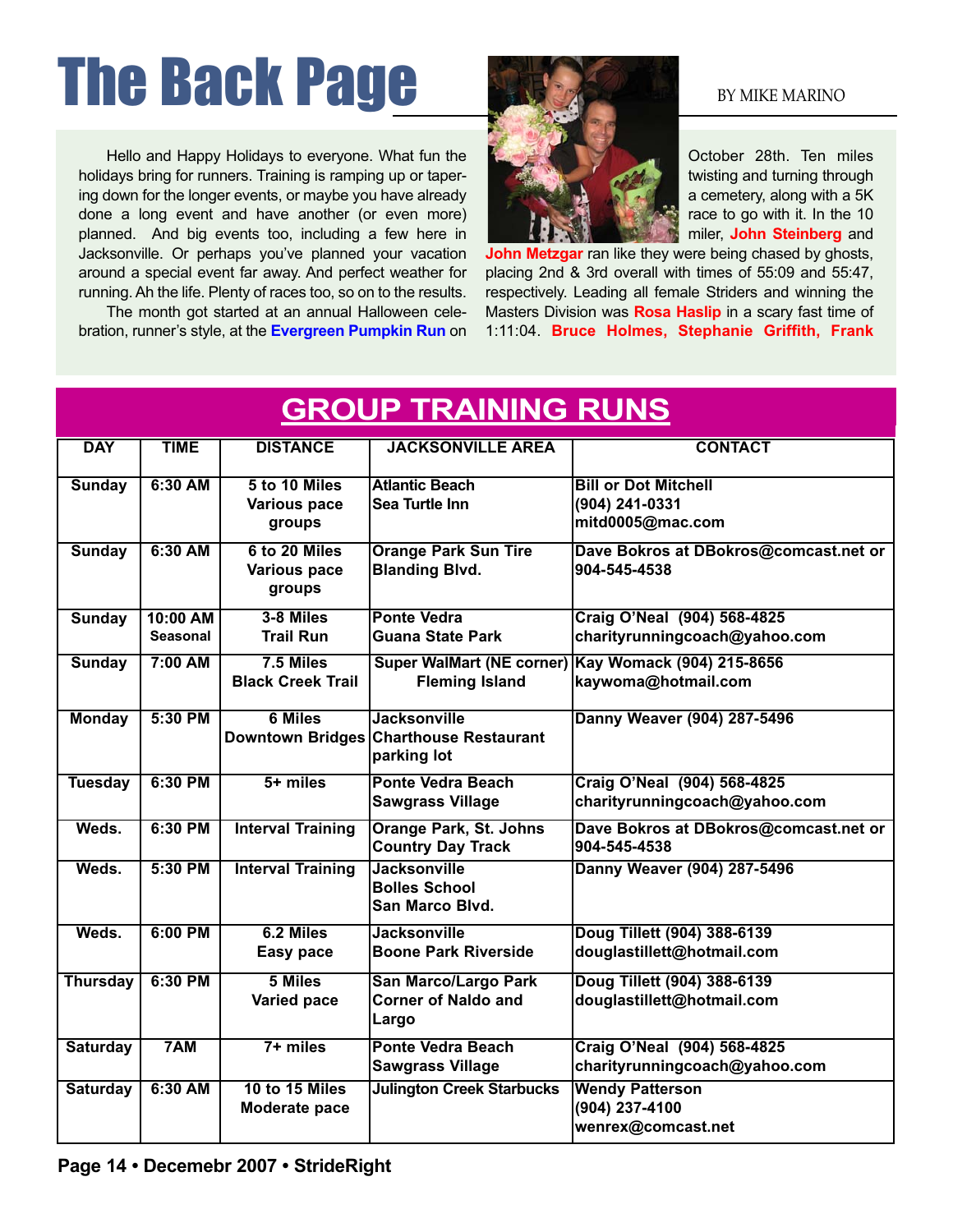# The Back Page By MIKE MARINO

Hello and Happy Holidays to everyone. What fun the holidays bring for runners. Training is ramping up or tapering down for the longer events, or maybe you have already done a long event and have another (or even more) planned. And big events too, including a few here in Jacksonville. Or perhaps you've planned your vacation around a special event far away. And perfect weather for running. Ah the life. Plenty of races too, so on to the results.

The month got started at an annual Halloween celebration, runner's style, at the **Evergreen Pumpkin Run** on



October 28th. Ten miles twisting and turning through a cemetery, along with a 5K race to go with it. In the 10 miler, **John Steinberg** and

**John Metzgar** ran like they were being chased by ghosts, placing 2nd & 3rd overall with times of 55:09 and 55:47, respectively. Leading all female Striders and winning the Masters Division was **Rosa Haslip** in a scary fast time of 1:11:04. **Bruce Holmes, Stephanie Griffith, Frank**

| <b>GROUP TRAINING RUNS</b> |                             |                                                |                                                                              |                                                                            |
|----------------------------|-----------------------------|------------------------------------------------|------------------------------------------------------------------------------|----------------------------------------------------------------------------|
| <b>DAY</b>                 | <b>TIME</b>                 | <b>DISTANCE</b>                                | <b>JACKSONVILLE AREA</b>                                                     | <b>CONTACT</b>                                                             |
| <b>Sunday</b>              | 6:30 AM                     | 5 to 10 Miles<br><b>Various pace</b><br>groups | <b>Atlantic Beach</b><br>Sea Turtle Inn                                      | <b>Bill or Dot Mitchell</b><br>(904) 241-0331<br>mitd0005@mac.com          |
| <b>Sunday</b>              | 6:30 AM                     | 6 to 20 Miles<br>Various pace<br>groups        | <b>Orange Park Sun Tire</b><br><b>Blanding Blvd.</b>                         | Dave Bokros at DBokros@comcast.net or<br>904-545-4538                      |
| <b>Sunday</b>              | 10:00 AM<br><b>Seasonal</b> | 3-8 Miles<br><b>Trail Run</b>                  | <b>Ponte Vedra</b><br>Guana State Park                                       | Craig O'Neal (904) 568-4825<br>charityrunningcoach@yahoo.com               |
| <b>Sunday</b>              | 7:00 AM                     | $7.5$ Miles<br><b>Black Creek Trail</b>        | <b>Fleming Island</b>                                                        | Super WalMart (NE corner) Kay Womack (904) 215-8656<br>kaywoma@hotmail.com |
| <b>Monday</b>              | 5:30 PM                     | <b>6 Miles</b>                                 | <b>Jacksonville</b><br>Downtown Bridges Charthouse Restaurant<br>parking lot | Danny Weaver (904) 287-5496                                                |
| <b>Tuesday</b>             | 6:30 PM                     | $5+$ miles                                     | <b>Ponte Vedra Beach</b><br><b>Sawgrass Village</b>                          | Craig O'Neal (904) 568-4825<br>charityrunningcoach@yahoo.com               |
| Weds.                      | 6:30 PM                     | <b>Interval Training</b>                       | <b>Orange Park, St. Johns</b><br><b>Country Day Track</b>                    | Dave Bokros at DBokros@comcast.net or<br>904-545-4538                      |
| Weds.                      | 5:30 PM                     | <b>Interval Training</b>                       | <b>Jacksonville</b><br><b>Bolles School</b><br>San Marco Blvd.               | Danny Weaver (904) 287-5496                                                |
| Weds.                      | $6:00$ PM                   | 6.2 Miles<br><b>Easy pace</b>                  | <b>Jacksonville</b><br><b>Boone Park Riverside</b>                           | Doug Tillett (904) 388-6139<br>douglastillett@hotmail.com                  |
| <b>Thursday</b>            | 6:30 PM                     | 5 Miles<br>Varied pace                         | <b>San Marco/Largo Park</b><br><b>Corner of Naldo and</b><br>Largo           | Doug Tillett (904) 388-6139<br>douglastillett@hotmail.com                  |
| <b>Saturday</b>            | 7AM                         | $7+$ miles                                     | <b>Ponte Vedra Beach</b><br><b>Sawgrass Village</b>                          | Craig O'Neal (904) 568-4825<br>charityrunningcoach@yahoo.com               |
| <b>Saturday</b>            | $6:30$ AM                   | 10 to 15 Miles<br>Moderate pace                | <b>Julington Creek Starbucks</b>                                             | <b>Wendy Patterson</b><br>(904) 237-4100<br>wenrex@comcast.net             |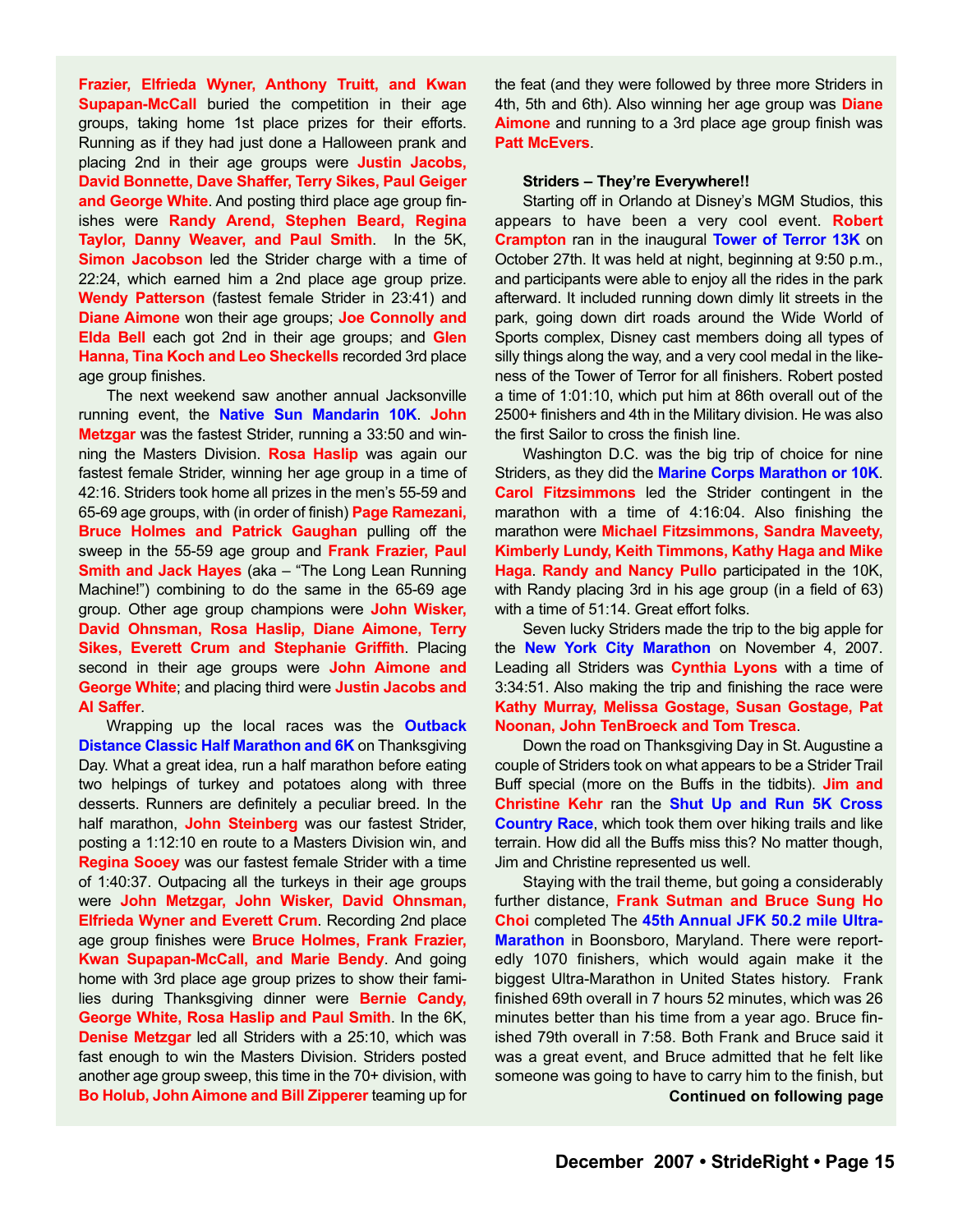**Frazier, Elfrieda Wyner, Anthony Truitt, and Kwan Supapan-McCall** buried the competition in their age groups, taking home 1st place prizes for their efforts. Running as if they had just done a Halloween prank and placing 2nd in their age groups were **Justin Jacobs, David Bonnette, Dave Shaffer, Terry Sikes, Paul Geiger and George White**. And posting third place age group finishes were **Randy Arend, Stephen Beard, Regina Taylor, Danny Weaver, and Paul Smith**. In the 5K, **Simon Jacobson** led the Strider charge with a time of 22:24, which earned him a 2nd place age group prize. **Wendy Patterson** (fastest female Strider in 23:41) and **Diane Aimone** won their age groups; **Joe Connolly and Elda Bell** each got 2nd in their age groups; and **Glen Hanna, Tina Koch and Leo Sheckells** recorded 3rd place age group finishes.

The next weekend saw another annual Jacksonville running event, the **Native Sun Mandarin 10K**. **John Metzgar** was the fastest Strider, running a 33:50 and winning the Masters Division. **Rosa Haslip** was again our fastest female Strider, winning her age group in a time of 42:16. Striders took home all prizes in the men's 55-59 and 65-69 age groups, with (in order of finish) **Page Ramezani, Bruce Holmes and Patrick Gaughan** pulling off the sweep in the 55-59 age group and **Frank Frazier, Paul Smith and Jack Hayes** (aka – "The Long Lean Running Machine!") combining to do the same in the 65-69 age group. Other age group champions were **John Wisker, David Ohnsman, Rosa Haslip, Diane Aimone, Terry Sikes, Everett Crum and Stephanie Griffith**. Placing second in their age groups were **John Aimone and George White**; and placing third were **Justin Jacobs and Al Saffer**.

Wrapping up the local races was the **Outback Distance Classic Half Marathon and 6K** on Thanksgiving Day. What a great idea, run a half marathon before eating two helpings of turkey and potatoes along with three desserts. Runners are definitely a peculiar breed. In the half marathon, **John Steinberg** was our fastest Strider, posting a 1:12:10 en route to a Masters Division win, and **Regina Sooey** was our fastest female Strider with a time of 1:40:37. Outpacing all the turkeys in their age groups were **John Metzgar, John Wisker, David Ohnsman, Elfrieda Wyner and Everett Crum**. Recording 2nd place age group finishes were **Bruce Holmes, Frank Frazier, Kwan Supapan-McCall, and Marie Bendy**. And going home with 3rd place age group prizes to show their families during Thanksgiving dinner were **Bernie Candy, George White, Rosa Haslip and Paul Smith**. In the 6K, **Denise Metzgar** led all Striders with a 25:10, which was fast enough to win the Masters Division. Striders posted another age group sweep, this time in the 70+ division, with **Bo Holub, John Aimone and Bill Zipperer** teaming up for the feat (and they were followed by three more Striders in 4th, 5th and 6th). Also winning her age group was **Diane Aimone** and running to a 3rd place age group finish was **Patt McEvers**.

#### **Striders – They're Everywhere!!**

Starting off in Orlando at Disney's MGM Studios, this appears to have been a very cool event. **Robert Crampton** ran in the inaugural **Tower of Terror 13K** on October 27th. It was held at night, beginning at 9:50 p.m., and participants were able to enjoy all the rides in the park afterward. It included running down dimly lit streets in the park, going down dirt roads around the Wide World of Sports complex, Disney cast members doing all types of silly things along the way, and a very cool medal in the likeness of the Tower of Terror for all finishers. Robert posted a time of 1:01:10, which put him at 86th overall out of the 2500+ finishers and 4th in the Military division. He was also the first Sailor to cross the finish line.

Washington D.C. was the big trip of choice for nine Striders, as they did the **Marine Corps Marathon or 10K**. **Carol Fitzsimmons** led the Strider contingent in the marathon with a time of 4:16:04. Also finishing the marathon were **Michael Fitzsimmons, Sandra Maveety, Kimberly Lundy, Keith Timmons, Kathy Haga and Mike Haga**. **Randy and Nancy Pullo** participated in the 10K, with Randy placing 3rd in his age group (in a field of 63) with a time of 51:14. Great effort folks.

Seven lucky Striders made the trip to the big apple for the **New York City Marathon** on November 4, 2007. Leading all Striders was **Cynthia Lyons** with a time of 3:34:51. Also making the trip and finishing the race were **Kathy Murray, Melissa Gostage, Susan Gostage, Pat Noonan, John TenBroeck and Tom Tresca**.

Down the road on Thanksgiving Day in St. Augustine a couple of Striders took on what appears to be a Strider Trail Buff special (more on the Buffs in the tidbits). **Jim and Christine Kehr** ran the **Shut Up and Run 5K Cross Country Race**, which took them over hiking trails and like terrain. How did all the Buffs miss this? No matter though, Jim and Christine represented us well.

Staying with the trail theme, but going a considerably further distance, **Frank Sutman and Bruce Sung Ho Choi** completed The **45th Annual JFK 50.2 mile Ultra-Marathon** in Boonsboro, Maryland. There were reportedly 1070 finishers, which would again make it the biggest Ultra-Marathon in United States history. Frank finished 69th overall in 7 hours 52 minutes, which was 26 minutes better than his time from a year ago. Bruce finished 79th overall in 7:58. Both Frank and Bruce said it was a great event, and Bruce admitted that he felt like someone was going to have to carry him to the finish, but **Continued on following page**

**December 2007 • StrideRight • Page 15**